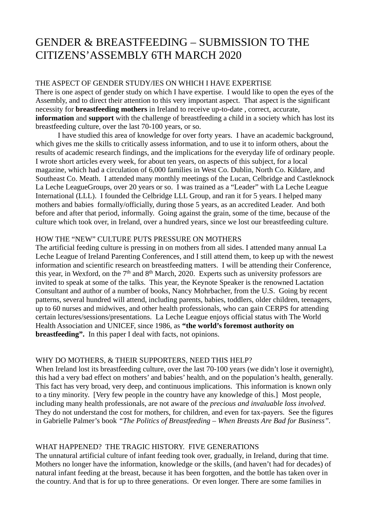## GENDER & BREASTFEEDING – SUBMISSION TO THE CITIZENS'ASSEMBLY 6TH MARCH 2020

### THE ASPECT OF GENDER STUDY/IES ON WHICH I HAVE EXPERTISE

There is one aspect of gender study on which I have expertise. I would like to open the eyes of the Assembly, and to direct their attention to this very important aspect. That aspect is the significant necessity for **breastfeeding mothers** in Ireland to receive up-to-date , correct, accurate, **information** and **support** with the challenge of breastfeeding a child in a society which has lost its breastfeeding culture, over the last 70-100 years, or so.

I have studied this area of knowledge for over forty years. I have an academic background, which gives me the skills to critically assess information, and to use it to inform others, about the results of academic research findings, and the implications for the everyday life of ordinary people. I wrote short articles every week, for about ten years, on aspects of this subject, for a local magazine, which had a circulation of 6,000 families in West Co. Dublin, North Co. Kildare, and Southeast Co. Meath. I attended many monthly meetings of the Lucan, Celbridge and Castleknock La Leche LeagueGroups, over 20 years or so. I was trained as a "Leader" with La Leche League International (LLL). I founded the Celbridge LLL Group, and ran it for 5 years. I helped many mothers and babies formally/officially, during those 5 years, as an accredited Leader. And both before and after that period, informally. Going against the grain, some of the time, because of the culture which took over, in Ireland, over a hundred years, since we lost our breastfeeding culture.

#### HOW THE "NEW" CULTURE PUTS PRESSURE ON MOTHERS

The artificial feeding culture is pressing in on mothers from all sides. I attended many annual La Leche League of Ireland Parenting Conferences, and I still attend them, to keep up with the newest information and scientific research on breastfeeding matters. I will be attending their Conference, this year, in Wexford, on the  $7<sup>th</sup>$  and  $8<sup>th</sup>$  March, 2020. Experts such as university professors are invited to speak at some of the talks. This year, the Keynote Speaker is the renowned Lactation Consultant and author of a number of books, Nancy Mohrbacher, from the U.S. Going by recent patterns, several hundred will attend, including parents, babies, toddlers, older children, teenagers, up to 60 nurses and midwives, and other health professionals, who can gain CERPS for attending certain lectures/sessions/presentations. La Leche League enjoys official status with The World Health Association and UNICEF, since 1986, as **"the world's foremost authority on breastfeeding".** In this paper I deal with facts, not opinions.

## WHY DO MOTHERS, & THEIR SUPPORTERS, NEED THIS HELP?

When Ireland lost its breastfeeding culture, over the last 70-100 years (we didn't lose it overnight), this had a very bad effect on mothers' and babies' health, and on the population's health, generally. This fact has very broad, very deep, and continuous implications. This information is known only to a tiny minority. [Very few people in the country have any knowledge of this.] Most people, including many health professionals, are not aware of the *precious and invaluable loss involved*. They do not understand the cost for mothers, for children, and even for tax-payers. See the figures in Gabrielle Palmer's book *"The Politics of Breastfeeding – When Breasts Are Bad for Business".*

## WHAT HAPPENED? THE TRAGIC HISTORY. FIVE GENERATIONS

The unnatural artificial culture of infant feeding took over, gradually, in Ireland, during that time. Mothers no longer have the information, knowledge or the skills, (and haven't had for decades) of natural infant feeding at the breast, because it has been forgotten, and the bottle has taken over in the country. And that is for up to three generations. Or even longer. There are some families in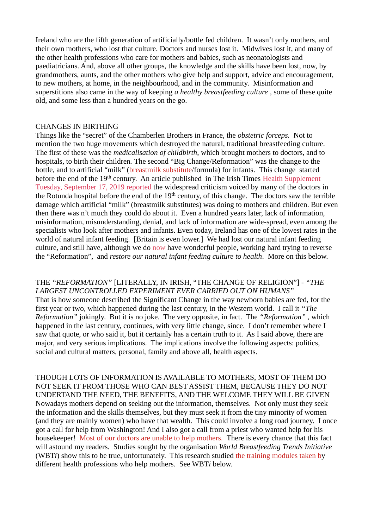Ireland who are the fifth generation of artificially/bottle fed children. It wasn't only mothers, and their own mothers, who lost that culture. Doctors and nurses lost it. Midwives lost it, and many of the other health professions who care for mothers and babies, such as neonatologists and paediatricians. And, above all other groups, the knowledge and the skills have been lost, now, by grandmothers, aunts, and the other mothers who give help and support, advice and encouragement, to new mothers, at home, in the neighbourhood, and in the community. Misinformation and superstitions also came in the way of keeping *a healthy breastfeeding culture* , some of these quite old, and some less than a hundred years on the go.

#### CHANGES IN BIRTHING

Things like the "secret" of the Chamberlen Brothers in France, the *obstetric forceps.* Not to mention the two huge movements which destroyed the natural, traditional breastfeeding culture. The first of these was the *medicalisation of childbirth*, which brought mothers to doctors, and to hospitals, to birth their children*.* The second "Big Change/Reformation" was the change to the bottle, and to artificial "milk" (breastmilk substitute/formula) for infants. This change started before the end of the 19<sup>th</sup> century. An article published in The Irish Times Health Supplement Tuesday, September 17, 2019 reported the widespread criticism voiced by many of the doctors in the Rotunda hospital before the end of the 19<sup>th</sup> century, of this change. The doctors saw the terrible damage which artificial "milk" (breastmilk substitutes) was doing to mothers and children. But even then there was n't much they could do about it. Even a hundred years later, lack of information, misinformation, misunderstanding, denial, and lack of information are wide-spread, even among the specialists who look after mothers and infants. Even today, Ireland has one of the lowest rates in the world of natural infant feeding. [Britain is even lower.] We had lost our natural infant feeding culture, and still have, although we do now have wonderful people, working hard trying to reverse the "Reformation", and *restore our natural infant feeding culture to health*. More on this below.

THE *"REFORMATION"* [LITERALLY, IN IRISH, "THE CHANGE OF RELIGION"] - *"THE LARGEST UNCONTROLLED EXPERIMENT EVER CARRIED OUT ON HUMANS"* That is how someone described the Significant Change in the way newborn babies are fed, for the first year or two, which happened during the last century, in the Western world. I call it *"The Reformation"* jokingly. But it is no joke. The very opposite, in fact. The *"Reformation"* , which happened in the last century, continues, with very little change, since. I don't remember where I saw that quote, or who said it, but it certainly has a certain truth to it. As I said above, there are major, and very serious implications. The implications involve the following aspects: politics, social and cultural matters, personal, family and above all, health aspects.

THOUGH LOTS OF INFORMATION IS AVAILABLE TO MOTHERS, MOST OF THEM DO NOT SEEK IT FROM THOSE WHO CAN BEST ASSIST THEM, BECAUSE THEY DO NOT UNDERTAND THE NEED, THE BENEFITS, AND THE WELCOME THEY WILL BE GIVEN Nowadays mothers depend on seeking out the information, themselves. Not only must they seek the information and the skills themselves, but they must seek it from the tiny minority of women (and they are mainly women) who have that wealth. This could involve a long road journey. I once got a call for help from Washington! And I also got a call from a priest who wanted help for his housekeeper! Most of our doctors are unable to help mothers. There is every chance that this fact will astound my readers. Studies sought by the organisation *World Breastfeeding Trends Initiative*  (WBT*i*) show this to be true, unfortunately. This research studied the training modules taken by different health professions who help mothers. See WBT*i* below.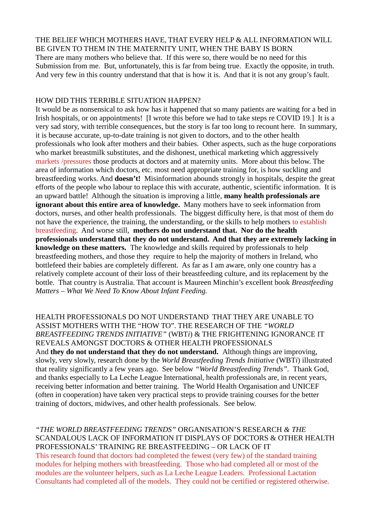THE BELIEF WHICH MOTHERS HAVE, THAT EVERY HELP & ALL INFORMATION WILL BE GIVEN TO THEM IN THE MATERNITY UNIT, WHEN THE BABY IS BORN There are many mothers who believe that. If this were so, there would be no need for this Submission from me. But, unfortunately, this is far from being true. Exactly the opposite, in truth. And very few in this country understand that that is how it is. And that it is not any group's fault.

#### HOW DID THIS TERRIBLE SITUATION HAPPEN?

It would be as nonsensical to ask how has it happened that so many patients are waiting for a bed in Irish hospitals, or on appointments! [I wrote this before we had to take steps re COVID 19.] It is a very sad story, with terrible consequences, but the story is far too long to recount here. In summary, it is because accurate, up-to-date training is not given to doctors, and to the other health professionals who look after mothers and their babies. Other aspects, such as the huge corporations who market breastmilk substitutes, and the dishonest, unethical marketing which aggressively markets /pressures those products at doctors and at maternity units. More about this below. The area of information which doctors, etc. most need appropriate training for, is how suckling and breastfeeding works. And **doesn't!** Misinformation abounds strongly in hospitals, despite the great efforts of the people who labour to replace this with accurate, authentic, scientific information. It is an upward battle! Although the situation is improving a little, **many health professionals are ignorant about this entire area of knowledge.** Many mothers have to seek information from doctors, nurses, and other health professionals. The biggest difficulty here, is that most of them do not have the experience, the training, the understanding, or the skills to help mothers to establish breastfeeding. And worse still, **mothers do not understand that. Nor do the health professionals understand that they do not understand. And that they are extremely lacking in knowledge on these matters.** The knowledge and skills required by professionals to help breastfeeding mothers, and those they require to help the majority of mothers in Ireland, who bottlefeed their babies are completely different. As far as I am aware, only one country has a relatively complete account of their loss of their breastfeeding culture, and its replacement by the bottle. That country is Australia. That account is Maureen Minchin's excellent book *Breastfeeding Matters – What We Need To Know About Infant Feeding.*

HEALTH PROFESSIONALS DO NOT UNDERSTAND THAT THEY ARE UNABLE TO ASSIST MOTHERS WITH THE "HOW TO". THE RESEARCH OF THE *"WORLD BREASTFEEDING TRENDS INITIATIVE"* (WBT*i*) & THE FRIGHTENING IGNORANCE IT REVEALS AMONGST DOCTORS & OTHER HEALTH PROFESSIONALS And **they do not understand that they do not understand.** Although things are improving, slowly, very slowly, research done by the *World Breastfeeding Trends Initiative* (WBT*i*) illustrated that reality significantly a few years ago. See below *"World Breastfeeding Trends".* Thank God, and thanks especially to La Leche League International, health professionals are, in recent years, receiving better information and better training. The World Health Organisation and UNICEF (often in cooperation) have taken very practical steps to provide training courses for the better training of doctors, midwives, and other health professionals. See below.

#### *"THE WORLD BREASTFEEDING TRENDS"* ORGANISATION'S RESEARCH *& THE*  SCANDALOUS LACK OF INFORMATION IT DISPLAYS OF DOCTORS & OTHER HEALTH PROFESSIONALS' TRAINING RE BREASTFEEDING – OR LACK OF IT This research found that doctors had completed the fewest (very few) of the standard training

modules for helping mothers with breastfeeding. Those who had completed all or most of the modules are the volunteer helpers, such as La Leche League Leaders. Professional Lactation Consultants had completed all of the models. They could not be certified or registered otherwise.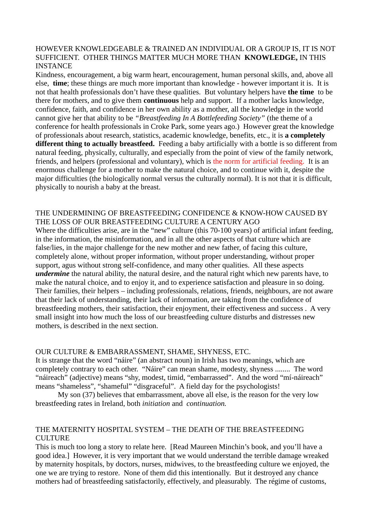#### HOWEVER KNOWLEDGEABLE & TRAINED AN INDIVIDUAL OR A GROUP IS, IT IS NOT SUFFICIENT. OTHER THINGS MATTER MUCH MORE THAN **KNOWLEDGE,** IN THIS **INSTANCE**

Kindness, encouragement, a big warm heart, encouragement, human personal skills, and, above all else, **time**; these things are much more important than knowledge - however important it is. It is not that health professionals don't have these qualities. But voluntary helpers have **the time** to be there for mothers, and to give them **continuous** help and support. If a mother lacks knowledge, confidence, faith, and confidence in her own ability as a mother, all the knowledge in the world cannot give her that ability to be *"Breastfeeding In A Bottlefeeding Society"* (the theme of a conference for health professionals in Croke Park, some years ago.) However great the knowledge of professionals about research, statistics, academic knowledge, benefits, etc., it is **a completely different thing to actually breastfeed.** Feeding a baby artificially with a bottle is so different from natural feeding, physically, culturally, and especially from the point of view of the family network, friends, and helpers (professional and voluntary), which is the norm for artificial feeding. It is an enormous challenge for a mother to make the natural choice, and to continue with it, despite the major difficulties (the biologically normal versus the culturally normal). It is not that it is difficult, physically to nourish a baby at the breast.

#### THE UNDERMINING OF BREASTFEEDING CONFIDENCE & KNOW-HOW CAUSED BY THE LOSS OF OUR BREASTFEEDING CULTURE A CENTURY AGO

Where the difficulties arise, are in the "new" culture (this 70-100 years) of artificial infant feeding, in the information, the misinformation, and in all the other aspects of that culture which are false/lies, in the major challenge for the new mother and new father, of facing this culture, completely alone, without proper information, without proper understanding, without proper support, agus without strong self-confidence, and many other qualities. All these aspects *undermine* the natural ability, the natural desire, and the natural right which new parents have, to make the natural choice, and to enjoy it, and to experience satisfaction and pleasure in so doing. Their families, their helpers – including professionals, relations, friends, neighbours, are not aware that their lack of understanding, their lack of information, are taking from the confidence of breastfeeding mothers, their satisfaction, their enjoyment, their effectiveness and success . A very small insight into how much the loss of our breastfeeding culture disturbs and distresses new mothers, is described in the next section.

#### OUR CULTURE & EMBARRASSMENT, SHAME, SHYNESS, ETC.

It is strange that the word "náire" (an abstract noun) in Irish has two meanings, which are completely contrary to each other. "Náire" can mean shame, modesty, shyness ........ The word "náireach" (adjective) means "shy, modest, timid, "embarrassed". And the word "mí-náireach" means "shameless", "shameful" "disgraceful". A field day for the psychologists!

My son (37) believes that embarrassment, above all else, is the reason for the very low breastfeeding rates in Ireland, both *initiation* and *continuation.*

#### THE MATERNITY HOSPITAL SYSTEM – THE DEATH OF THE BREASTFEEDING CULTURE.

This is much too long a story to relate here. [Read Maureen Minchin's book, and you'll have a good idea.] However, it is very important that we would understand the terrible damage wreaked by maternity hospitals, by doctors, nurses, midwives, to the breastfeeding culture we enjoyed, the one we are trying to restore. None of them did this intentionally. But it destroyed any chance mothers had of breastfeeding satisfactorily, effectively, and pleasurably. The régime of customs,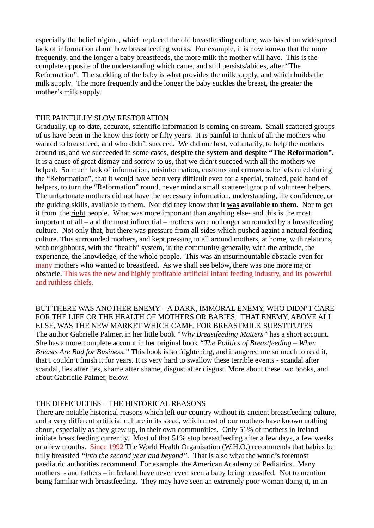especially the belief régime, which replaced the old breastfeeding culture, was based on widespread lack of information about how breastfeeding works. For example, it is now known that the more frequently, and the longer a baby breastfeeds, the more milk the mother will have. This is the complete opposite of the understanding which came, and still persists/abides, after "The Reformation". The suckling of the baby is what provides the milk supply, and which builds the milk supply. The more frequently and the longer the baby suckles the breast, the greater the mother's milk supply.

#### THE PAINFULLY SLOW RESTORATION

Gradually, up-to-date, accurate, scientific information is coming on stream. Small scattered groups of us have been in the know this forty or fifty years. It is painful to think of all the mothers who wanted to breastfeed, and who didn't succeed. We did our best, voluntarily, to help the mothers around us, and we succeeded in some cases, **despite the system and despite "The Reformation".**  It is a cause of great dismay and sorrow to us, that we didn't succeed with all the mothers we helped. So much lack of information, misinformation, customs and erroneous beliefs ruled during the "Reformation", that it would have been very difficult even for a special, trained, paid band of helpers, to turn the "Reformation" round, never mind a small scattered group of volunteer helpers. The unfortunate mothers did not have the necessary information, understanding, the confidence, or the guiding skills, available to them. Nor did they know that **it was available to them.** Nor to get it from the right people. What was more important than anything else- and this is the most important of all – and the most influential – mothers were no longer surrounded by a breastfeeding culture. Not only that, but there was pressure from all sides which pushed againt a natural feeding culture. This surrounded mothers, and kept pressing in all around mothers, at home, with relations, with neighbours, with the "health" system, in the community generally, with the attitude, the experience, the knowledge, of the whole people. This was an insurmountable obstacle even for many mothers who wanted to breastfeed. As we shall see below, there was one more major obstacle. This was the new and highly profitable artificial infant feeding industry, and its powerful and ruthless chiefs.

BUT THERE WAS ANOTHER ENEMY – A DARK, IMMORAL ENEMY, WHO DIDN'T CARE FOR THE LIFE OR THE HEALTH OF MOTHERS OR BABIES. THAT ENEMY, ABOVE ALL ELSE, WAS THE NEW MARKET WHICH CAME, FOR BREASTMILK SUBSTITUTES The author Gabrielle Palmer, in her little book *"Why Breastfeeding Matters"* has a short account. She has a more complete account in her original book *"The Politics of Breastfeeding – When Breasts Are Bad for Business."* This book is so frightening, and it angered me so much to read it, that I couldn't finish it for years. It is very hard to swallow these terrible events - scandal after scandal, lies after lies, shame after shame, disgust after disgust. More about these two books, and about Gabrielle Palmer, below.

#### THE DIFFICULTIES – THE HISTORICAL REASONS

There are notable historical reasons which left our country without its ancient breastfeeding culture, and a very different artificial culture in its stead, which most of our mothers have known nothing about, especially as they grew up, in their own communities. Only 51% of mothers in Ireland initiate breastfeeding currently. Most of that 51% stop breastfeeding after a few days, a few weeks or a few months. Since 1992 The World Health Organisation (W.H.O.) recommends that babies be fully breastfed *"into the second year and beyond".* That is also what the world's foremost paediatric authorities recommend. For example, the American Academy of Pediatrics. Many mothers - and fathers – in Ireland have never even seen a baby being breastfed. Not to mention being familiar with breastfeeding. They may have seen an extremely poor woman doing it, in an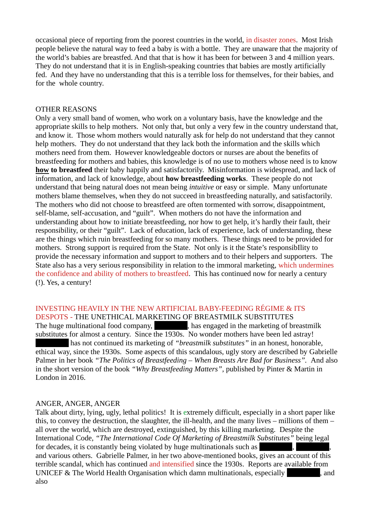occasional piece of reporting from the poorest countries in the world, in disaster zones. Most Irish people believe the natural way to feed a baby is with a bottle. They are unaware that the majority of the world's babies are breastfed. And that that is how it has been for between 3 and 4 million years. They do not understand that it is in English-speaking countries that babies are mostly artificially fed. And they have no understanding that this is a terrible loss for themselves, for their babies, and for the whole country.

#### OTHER REASONS

Only a very small band of women, who work on a voluntary basis, have the knowledge and the appropriate skills to help mothers. Not only that, but only a very few in the country understand that, and know it. Those whom mothers would naturally ask for help do not understand that they cannot help mothers. They do not understand that they lack both the information and the skills which mothers need from them. However knowledgeable doctors or nurses are about the benefits of breastfeeding for mothers and babies, this knowledge is of no use to mothers whose need is to know **how to breastfeed** their baby happily and satisfactorily. Misinformation is widespread, and lack of information, and lack of knowledge, about **how breastfeeding works**. These people do not understand that being natural does not mean being *intuitive* or easy or simple. Many unfortunate mothers blame themselves, when they do not succeed in breastfeeding naturally, and satisfactorily. The mothers who did not choose to breastfeed are often tormented with sorrow, disappointment, self-blame, self-accusation, and "guilt". When mothers do not have the information and understanding about how to initiate breastfeeding, nor how to get help, it's hardly their fault, their responsibility, or their "guilt". Lack of education, lack of experience, lack of understanding, these are the things which ruin breastfeeding for so many mothers. These things need to be provided for mothers. Strong support is required from the State. Not only is it the State's responsibIlity to provide the necessary information and support to mothers and to their helpers and supporters. The State also has a very serious responsibility in relation to the immoral marketing, which undermines the confidence and ability of mothers to breastfeed. This has continued now for nearly a century (!). Yes, a century!

#### INVESTING HEAVILY IN THE NEW ARTIFICIAL BABY-FEEDING RÉGIME & ITS

DESPOTS - THE UNETHICAL MARKETING OF BREASTMILK SUBSTITUTES The huge multinational food company, has engaged in the marketing of breastmilk substitutes for almost a century. Since the 1930s. No wonder mothers have been led astray! has not continued its marketing of *"breastmilk substitutes"* in an honest, honorable, ethical way, since the 1930s. Some aspects of this scandalous, ugly story are described by Gabrielle Palmer in her book *"The Politics of Breastfeeding – When Breasts Are Bad for Business".* And also in the short version of the book *"Why Breastfeeding Matters",* published by Pinter & Martin in London in 2016.

#### ANGER, ANGER, ANGER

Talk about dirty, lying, ugly, lethal politics! It is extremely difficult, especially in a short paper like this, to convey the destruction, the slaughter, the ill-health, and the many lives – millions of them – all over the world, which are destroyed, extinguished, by this killing marketing. Despite the International Code, *"The International Code Of Marketing of Breastmilk Substitutes"* being legal for decades, it is constantly being violated by huge multinationals such as and various others. Gabrielle Palmer, in her two above-mentioned books, gives an account of this terrible scandal, which has continued and intensified since the 1930s. Reports are available from UNICEF & The World Health Organisation which damn multinationals, especially [Redacted], and also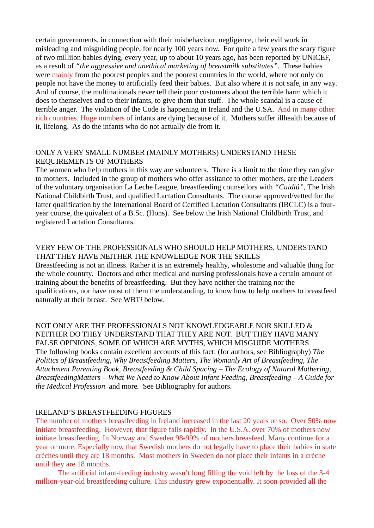certain governments, in connection with their misbehaviour, negligence, their evil work in misleading and misguiding people, for nearly 100 years now. For quite a few years the scary figure of two milliion babies dying, every year, up to about 10 years ago, has been reported by UNICEF, as a result of *"the aggressive and unethical marketing of breastmilk substitutes".* These babies were mainly from the poorest peoples and the poorest countries in the world, where not only do people not have the money to artificially feed their babies. But also where it is not safe, in any way. And of course, the multinationals never tell their poor customers about the terrible harm which it does to themselves and to their infants, to give them that stuff. The whole scandal is a cause of terrible anger. The violation of the Code is happening in Ireland and the U.SA. And in many other rich countries. Huge numbers of infants are dying because of it. Mothers suffer illhealth because of it, lifelong. As do the infants who do not actually die from it.

#### ONLY A VERY SMALL NUMBER (MAINLY MOTHERS) UNDERSTAND THESE REQUIREMENTS OF MOTHERS

The women who help mothers in this way are volunteers. There is a limit to the time they can give to mothers. Included in the group of mothers who offer assitance to other mothers, are the Leaders of the voluntary organisation La Leche League, breastfeeding counsellors with *"Cuidiú",* The Irish National Childbirth Trust, and qualified Lactation Consultants. The course approved/vetted for the latter qualification by the International Board of Certified Lactation Consultants (IBCLC) is a fouryear course, the quivalent of a B.Sc. (Hons). See below the Irish National Childbirth Trust, and registered Lactation Consultants.

## VERY FEW OF THE PROFESSIONALS WHO SHOULD HELP MOTHERS, UNDERSTAND THAT THEY HAVE NEITHER THE KNOWLEDGE NOR THE SKILLS

Breastfeeding is not an illness. Rather it is an extremely healthy, wholesome and valuable thing for the whole countrty. Doctors and other medical and nursing professionals have a certain amount of training about the benefits of breastfeeding. But they have neither the training nor the qualifications, nor have most of them the understanding, to know how to help mothers to breastfeed naturally at their breast. See WBT*i* below.

NOT ONLY ARE THE PROFESSIONALS NOT KNOWLEDGEABLE NOR SKILLED & NEITHER DO THEY UNDERSTAND THAT THEY ARE NOT. BUT THEY HAVE MANY FALSE OPINIONS, SOME OF WHICH ARE MYTHS, WHICH MISGUIDE MOTHERS The following books contain excellent accounts of this fact: (for authors, see Bibliography) *The Politics of Breastfeeding, Why Breastfeeding Matters, The Womanly Art of Breastfeeding, The Attachment Parenting Book, Breastfeeding & Child Spacing – The Ecology of Natural Mothering, BreastfeedingMatters – What We Need to Know About Infant Feeding, Breastfeeding – A Guide for the Medical Profession* and more*.* See Bibliography for authors.

#### IRELAND'S BREASTFEEDING FIGURES

The number of mothers breastfeeding in Ireland increased in the last 20 years or so. Over 50% now initiate breastfeeding. However, that figure falls rapidly. In the U.S.A. over 70% of mothers now initiate breastfeeding. In Norway and Sweden 98-99% of mothers breasfeed. Many continue for a year or more. Especially now that Swedish mothers do not legally have to place their babies in state crèches until they are 18 months. Most mothers in Sweden do not place their infants in a crèche until they are 18 months.

The artificial infant-feeding industry wasn't long filling the void left by the loss of the 3-4 million-year-old breastfeeding culture. This industry grew exponentially. It soon provided all the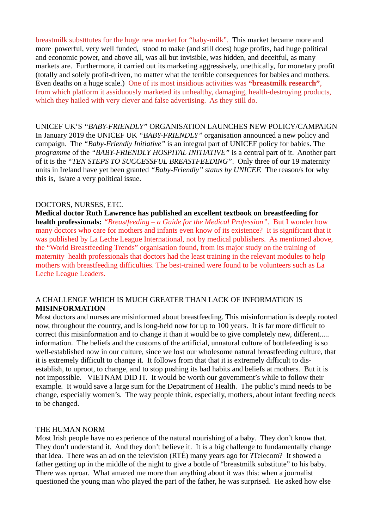breastmilk substttutes for the huge new market for "baby-milk". This market became more and more powerful, very well funded, stood to make (and still does) huge profits, had huge political and economic power, and above all, was all but invisible, was hidden, and deceitful, as many markets are. Furthermore, it carried out its marketing aggressively, unethically, for monetary profit (totally and solely profit-driven, no matter what the terrible consequences for babies and mothers. Even deaths on a huge scale.) One of its most insidious activities was **"breastmilk research"**, from which platform it assiduously marketed its unhealthy, damaging, health-destroying products, which they hailed with very clever and false advertising. As they still do.

UNICEF UK'S *"BABY-FRIENDLY"* ORGANISATION LAUNCHES NEW POLICY/CAMPAIGN In January 2019 the UNICEF UK *"BABY-FRIENDLY"* organisation announced a new policy and campaign. The *"Baby-Friendly Initiative"* is an integral part of UNICEF policy for babies. The *programme* of the *"BABY-FRIENDLY HOSPITAL INITIATIVE"* is a central part of it. Another part of it is the *"TEN STEPS TO SUCCESSFUL BREASTFEEDING"*. Only three of our 19 maternity units in Ireland have yet been granted *"Baby-Friendly" status by UNICEF.* The reason/s for why this is, is/are a very political issue.

#### DOCTORS, NURSES, ETC.

**Medical doctor Ruth Lawrence has published an excellent textbook on breastfeeding for health professionals:** *"Breastfeeding – a Guide for the Medical Profession".* But I wonder how many doctors who care for mothers and infants even know of its existence? It is significant that it was published by La Leche League International, not by medical publishers. As mentioned above, the "World Breastfeeding Trends" organisation found, from its major study on the training of maternity health professionals that doctors had the least training in the relevant modules to help mothers with breastfeeding difficulties. The best-trained were found to be volunteers such as La Leche League Leaders.

#### A CHALLENGE WHICH IS MUCH GREATER THAN LACK OF INFORMATION IS **MISINFORMATION**

Most doctors and nurses are misinformed about breastfeeding. This misinformation is deeply rooted now, throughout the country, and is long-held now for up to 100 years. It is far more difficult to correct this misinformation and to change it than it would be to give completely new, different..... information. The beliefs and the customs of the artificial, unnatural culture of bottlefeeding is so well-established now in our culture, since we lost our wholesome natural breastfeeding culture, that it is extremely difficult to change it. It follows from that that it is extremely difficult to disestablish, to uproot, to change, and to stop pushing its bad habits and beliefs at mothers. But it is not impossible. VIETNAM DID IT. It would be worth our government's while to follow their example. It would save a large sum for the Depatrtment of Health. The public's mind needs to be change, especially women's. The way people think, especially, mothers, about infant feeding needs to be changed.

#### THE HUMAN NORM

Most Irish people have no experience of the natural nourishing of a baby. They don't know that. They don't understand it. And they don't believe it. It is a big challenge to fundamentally change that idea. There was an ad on the television (RTÉ) many years ago for ?Telecom? It showed a father getting up in the middle of the night to give a bottle of "breastmilk substitute" to his baby. There was uproar. What amazed me more than anything about it was this: when a journalist questioned the young man who played the part of the father, he was surprised. He asked how else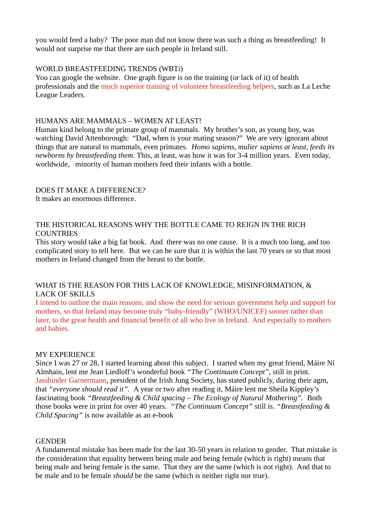you would feed a baby? The poor man did not know there was such a thing as breastfeeding! It would not surprise me that there are such people in Ireland still.

#### WORLD BREASTFEEDING TRENDS (WBT*i*)

You can google the website. One graph figure is on the training (or lack of it) of health professionals and the much superior training of volunteer breastfeeding helpers, such as La Leche League Leaders.

#### HUMANS ARE MAMMALS – WOMEN AT LEAST!

Human kind belong to the primate group of mammals. My brother's son, as young boy, was watching David Attenborough: "Dad, when is your mating season?" We are very ignorant about things that are natural to mammals, even primates. *Homo sapiens, mulier sapiens at least, feeds its newborns by breastfeeding them.* This, at least, was how it was for 3-4 million years. Even today, worldwide, minority of human mothers feed their infants with a bottle.

#### DOES IT MAKE A DIFFERENCE? It makes an enormous difference.

#### THE HISTORICAL REASONS WHY THE BOTTLE CAME TO REIGN IN THE RICH COUNTRIES

This story would take a big fat book. And there was no one cause. It is a much too long, and too complicated story to tell here. But we can be sure that it is within the last 70 years or so that most mothers in Ireland changed from the breast to the bottle.

#### WHAT IS THE REASON FOR THIS LACK OF KNOWLEDGE, MISINFORMATION, & LACK OF SKILLS

I intend to outline the main reasons, and show the need for serious government help and support for mothers, so that Ireland may become truly "baby-friendly" (WHO/UNICEF) sooner rather than later, to the great health and financial benefit of all who live in Ireland. And especially to mothers and babies.

#### MY EXPERIENCE

Since I was 27 or 28, I started learning about this subject. I started when my great friend, Máire Ní Almhain, lent me Jean Liedloff's wonderful book *"The Continuum Concept",* still in print. Jassbinder Garnermann, president of the Irish Jung Society, has stated publicly, during their agm, that *"everyone should read it".* A year or two after reading it, Máire lent me Sheila Kippley's fascinating book *"Breastfeeding & Child spacing – The Ecology of Natural Mothering".* Both those books were in print for over 40 years. *"The Continuum Concept"* still is. *"Breastfeeding & Child Spacing"* is now available as an e-book

#### GENDER

A fundamental mistake has been made for the last 30-50 years in relation to gender. That mistake is the consideration that equality between being male and being female (which is right) means that being male and being female is the same. That they are the same (which is not right). And that to be male and to be female *should* be the same (which is neither right nor true).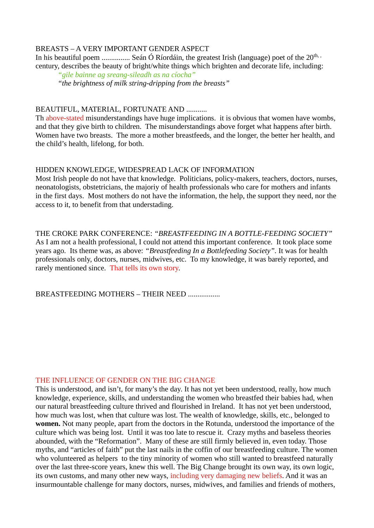#### BREASTS – A VERY IMPORTANT GENDER ASPECT

In his beautiful poem ................. Seán Ó Ríordáin, the greatest Irish (language) poet of the  $20^{\text{th}}$ , century, describes the beauty of bright/white things which brighten and decorate life, including: *"gile bainne ag sreang-sileadh as na cíocha"*

*"the brightness of milk string-dripping from the breasts"*

#### BEAUTIFUL, MATERIAL, FORTUNATE AND ...........

Th above-stated misunderstandings have huge implications. it is obvious that women have wombs, and that they give birth to children. The misunderstandings above forget what happens after birth. Women have two breasts. The more a mother breastfeeds, and the longer, the better her health, and the child's health, lifelong, for both.

#### HIDDEN KNOWLEDGE, WIDESPREAD LACK OF INFORMATION

Most Irish people do not have that knowledge. Politicians, policy-makers, teachers, doctors, nurses, neonatologists, obstetricians, the majoriy of health professionals who care for mothers and infants in the first days. Most mothers do not have the information, the help, the support they need, nor the access to it, to benefit from that understading.

THE CROKE PARK CONFERENCE: *"BREASTFEEDING IN A BOTTLE-FEEDING SOCIETY"* As I am not a health professional, I could not attend this important conference. It took place some years ago. Its theme was, as above: *"Breastfeeding In a Bottlefeeding Society".* It was for health professionals only, doctors, nurses, midwives, etc. To my knowledge, it was barely reported, and rarely mentioned since. That tells its own story.

BREASTFEEDING MOTHERS – THEIR NEED .................

#### THE INFLUENCE OF GENDER ON THE BIG CHANGE

This is understood, and isn't, for many's the day. It has not yet been understood, really, how much knowledge, experience, skills, and understanding the women who breastfed their babies had, when our natural breastfeeding culture thrived and flourished in Ireland. It has not yet been understood, how much was lost, when that culture was lost. The wealth of knowledge, skills, etc., belonged to **women.** Not many people, apart from the doctors in the Rotunda, understood the importance of the culture which was being lost. Until it was too late to rescue it. Crazy myths and baseless theories abounded, with the "Reformation". Many of these are still firmly believed in, even today. Those myths, and "articles of faith" put the last nails in the coffin of our breastfeeding culture. The women who volunteered as helpers to the tiny minority of women who still wanted to breastfeed naturally over the last three-score years, knew this well. The Big Change brought its own way, its own logic, its own customs, and many other new ways, including very damaging new beliefs. And it was an insurmountable challenge for many doctors, nurses, midwives, and families and friends of mothers,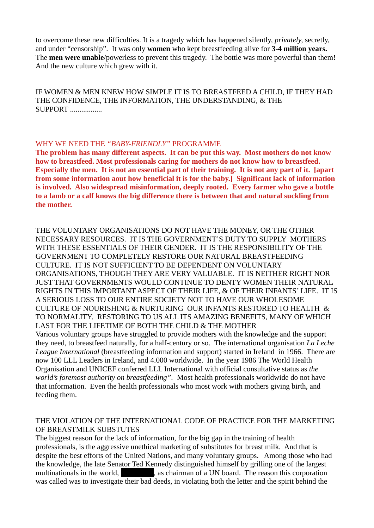to overcome these new difficulties. It is a tragedy which has happened silently, *privately,* secretly, and under "censorship". It was only **women** who kept breastfeeding alive for **3-4 million years.** The **men were unable**/powerless to prevent this tragedy. The bottle was more powerful than them! And the new culture which grew with it.

IF WOMEN & MEN KNEW HOW SIMPLE IT IS TO BREASTFEED A CHILD, IF THEY HAD THE CONFIDENCE, THE INFORMATION, THE UNDERSTANDING, & THE SUPPORT .................

#### WHY WE NEED THE *"BABY-FRIENDLY"* PROGRAMME

**The problem has many different aspects. It can be put this way. Most mothers do not know how to breastfeed. Most professionals caring for mothers do not know how to breastfeed. Especially the men. It is not an essential part of their training. It is not any part of it. [apart from some information aout how beneficial it is for the baby.] Significant lack of information is involved. Also widespread misinformation, deeply rooted. Every farmer who gave a bottle to a lamb or a calf knows the big difference there is between that and natural suckling from the mother.**

THE VOLUNTARY ORGANISATIONS DO NOT HAVE THE MONEY, OR THE OTHER NECESSARY RESOURCES. IT IS THE GOVERNMENT'S DUTY TO SUPPLY MOTHERS WITH THESE ESSENTIALS OF THEIR GENDER. IT IS THE RESPONSIBILITY OF THE GOVERNMENT TO COMPLETELY RESTORE OUR NATURAL BREASTFEEDING CULTURE. IT IS NOT SUFFICIENT TO BE DEPENDENT ON VOLUNTARY ORGANISATIONS, THOUGH THEY ARE VERY VALUABLE. IT IS NEITHER RIGHT NOR JUST THAT GOVERNMENTS WOULD CONTINUE TO DENTY WOMEN THEIR NATURAL RIGHTS IN THIS IMPORTANT ASPECT OF THEIR LIFE, & OF THEIR INFANTS' LIFE. IT IS A SERIOUS LOSS TO OUR ENTIRE SOCIETY NOT TO HAVE OUR WHOLESOME CULTURE OF NOURISHING & NURTURING OUR INFANTS RESTORED TO HEALTH & TO NORMALITY. RESTORING TO US ALL ITS AMAZING BENEFITS, MANY OF WHICH LAST FOR THE LIFETIME OF BOTH THE CHILD & THE MOTHER

Various voluntary groups have struggled to provide mothers with the knowledge and the support they need, to breastfeed naturally, for a half-century or so. The international organisation *La Leche League International* (breastfeeding information and support) started in Ireland in 1966. There are now 100 LLL Leaders in Ireland, and 4.000 worldwide. In the year 1986 The World Health Organisation and UNICEF conferred LLL International with official consultative status as *the world's foremost authority on breastfeeding".* Most health professionals worldwide do not have that information. Even the health professionals who most work with mothers giving birth, and feeding them.

#### THE VIOLATION OF THE INTERNATIONAL CODE OF PRACTICE FOR THE MARKETING OF BREASTMILK SUBSTUTES

The biggest reason for the lack of information, for the big gap in the training of health professionals, is the aggressive unethical marketing of substitutes for breast milk. And that is despite the best efforts of the United Nations, and many voluntary groups. Among those who had the knowledge, the late Senator Ted Kennedy distinguished himself by grilling one of the largest multinationals in the world, **Exercise 2.1 as chairman of a UN board.** The reason this corporation was called was to investigate their bad deeds, in violating both the letter and the spirit behind the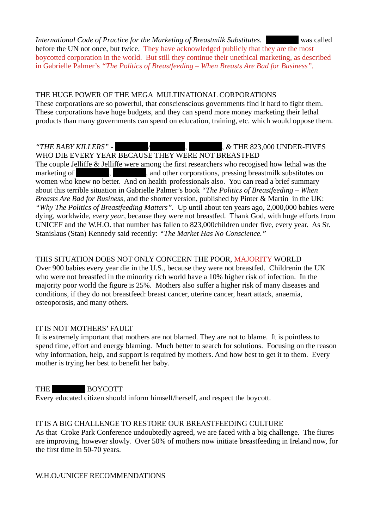*International Code of Practice for the Marketing of Breastmilk Substitutes.* [Redacted] was called before the UN not once, but twice. They have acknowledged publicly that they are the most boycotted corporation in the world. But still they continue their unethical marketing, as described in Gabrielle Palmer's *"The Politics of Breastfeeding – When Breasts Are Bad for Business".*

#### THE HUGE POWER OF THE MEGA MULTINATIONAL CORPORATIONS These corporations are so powerful, that conscienscious governments find it hard to fight them. These corporations have huge budgets, and they can spend more money marketing their lethal products than many governments can spend on education, training, etc. which would oppose them.

*"THE BABY KILLERS"* -  $\sqrt{R}$ ,  $\frac{1}{2}$ ,  $\frac{1}{2}$ ,  $\frac{1}{2}$ ,  $\frac{1}{2}$ ,  $\frac{1}{2}$ ,  $\frac{1}{2}$ ,  $\frac{1}{2}$ ,  $\frac{1}{2}$ ,  $\frac{1}{2}$ ,  $\frac{1}{2}$ ,  $\frac{1}{2}$ ,  $\frac{1}{2}$ ,  $\frac{1}{2}$ ,  $\frac{1}{2}$ ,  $\frac{1}{2}$ ,  $\frac{1}{2}$ ,  $\frac{1}{2}$ ,  $\frac$ WHO DIE EVERY YEAR BECAUSE THEY WERE NOT BREASTFED The couple Jelliffe & Jelliffe were among the first researchers who recogised how lethal was the marketing of Telecocic enterprise and other corporations, pressing breastmilk substitutes on women who knew no better. And on health professionals also. You can read a brief summary about this terrible situation in Gabrielle Palmer's book *"The Politics of Breastfeeding – When Breasts Are Bad for Business,* and the shorter version, published by Pinter & Martin in the UK: *"Why The Politics of Breastfeeding Matters".* Up until about ten years ago, 2,000,000 babies were dying, worldwide, *every year*, because they were not breastfed. Thank God, with huge efforts from UNICEF and the W.H.O. that number has fallen to 823,000children under five, every year. As Sr. Stanislaus (Stan) Kennedy said recently: *"The Market Has No Conscience."*

## THIS SITUATION DOES NOT ONLY CONCERN THE POOR, MAJORITY WORLD

Over 900 babies every year die in the U.S., because they were not breastfed. Childrenin the UK who were not breastfed in the minority rich world have a 10% higher risk of infection. In the majority poor world the figure is 25%. Mothers also suffer a higher risk of many diseases and conditions, if they do not breastfeed: breast cancer, uterine cancer, heart attack, anaemia, osteoporosis, and many others.

#### IT IS NOT MOTHERS' FAULT

It is extremely important that mothers are not blamed. They are not to blame. It is pointless to spend time, effort and energy blaming. Much better to search for solutions. Focusing on the reason why information, help, and support is required by mothers. And how best to get it to them. Every mother is trying her best to benefit her baby.

THE BOYCOTT Every educated citizen should inform himself/herself, and respect the boycott.

#### IT IS A BIG CHALLENGE TO RESTORE OUR BREASTFEEDING CULTURE

As that Croke Park Conference undoubtedly agreed, we are faced with a big challenge. The fiures are improving, however slowly. Over 50% of mothers now initiate breastfeeding in Ireland now, for the first time in 50-70 years.

#### W.H.O./UNICEF RECOMMENDATIONS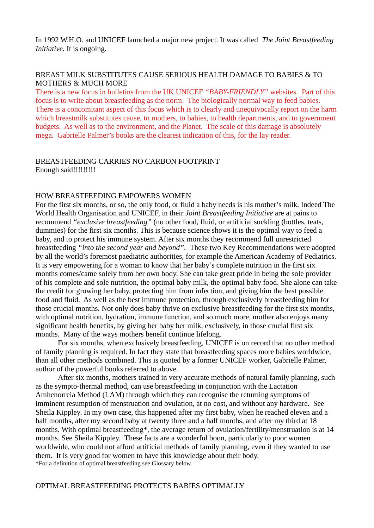In 1992 W.H.O. and UNICEF launched a major new project. It was called *The Joint Breastfeeding Initiative.* It is ongoing.

#### BREAST MILK SUBSTITUTES CAUSE SERIOUS HEALTH DAMAGE TO BABIES & TO MOTHERS & MUCH MORE

There is a new focus in bulletins from the UK UNICEF *"BABY-FRIENDLY"* websites. Part of this focus is to write about breastfeeding as the norm. The biologically normal way to feed babies. There is a concomitant aspect of this focus which is to clearly and unequivocally report on the harm which breastmilk substitutes cause, to mothers, to babies, to health departments, and to government budgets. As well as to the environment, and the Planet. The scale of this damage is absolutely mega. Gabrielle Palmer's books are the clearest indication of this, for the lay reader.

#### BREASTFEEDING CARRIES NO CARBON FOOTPRINT Enough said!!!!!!!!!

#### HOW BREASTFEEDING EMPOWERS WOMEN

For the first six months, or so, the only food, or fluid a baby needs is his mother's milk. Indeed The World Health Organisation and UNICEF, in their *Joint Breastfeeding Initiative* are at pains to recommend *"exclusive breastfeeding"* (no other food, fluid, or artificial suckling (bottles, teats, dummies) for the first six months. This is because science shows it is the optimal way to feed a baby, and to protect his immune system. After six months they recommend full unrestricted breastfeeding *"into the second year and beyond".* These two Key Recommendations were adopted by all the world's foremost paediatric authorities, for example the American Academy of Pediatrics. It is very empowering for a woman to know that her baby's complete nutrition in the first six months comes/came solely from her own body. She can take great pride in being the sole provider of his complete and sole nutrition, the optimal baby milk, the optimal baby food. She alone can take the credit for growing her baby, protecting him from infection, and giving him the best possible food and fluid. As well as the best immune protection, through exclusively breastfeeding him for those crucial months. Not only does baby thrive on exclusive breastfeeding for the first six months, with optimal nutrition, hydration, immune function, and so much more, mother also enjoys many significant health benefits, by giving her baby her milk, exclusively, in those crucial first six months. Many of the ways mothers benefit continue lifelong.

For six months, when exclusively breastfeeding, UNICEF is on record that no other method of family planning is required. In fact they state that breastfeeding spaces more babies worldwide, than all other methods combined. This is quoted by a former UNICEF worker, Gabrielle Palmer, author of the powerful books referred to above.

After six months, mothers trained in very accurate methods of natural family planning, such as the sympto-thermal method, can use breastfeeding in conjunction with the Lactation Amhenorreia Method (LAM) through which they can recognise the returning symptoms of imminent resumption of menstruation and ovulation, at no cost, and without any hardware. See Sheila Kippley. In my own case, this happened after my first baby, when he reached eleven and a half months, after my second baby at twenty three and a half months, and after my third at 18 months. With optimal breastfeeding\*, the average return of ovulation/fertility/menstruation is at 14 months. See Sheila Kippley. These facts are a wonderful boon, particularly to poor women worldwide, who could not afford artificial methods of family planning, even if they wanted to use them. It is very good for women to have this knowledge about their body. \*For a definition of optimal breastfeeding see Glossary below.

#### OPTIMAL BREASTFEEDING PROTECTS BABIES OPTIMALLY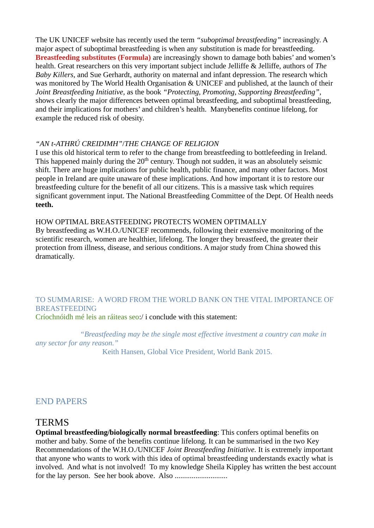The UK UNICEF website has recently used the term *"suboptimal breastfeeding"* increasingly. A major aspect of suboptimal breastfeeding is when any substitution is made for breastfeeding. **Breastfeeding substitutes (Formula)** are increasingly shown to damage both babies' and women's health. Great researchers on this very important subject include Jelliffe & Jelliffe, authors of *The Baby Killers,* and Sue Gerhardt, authority on maternal and infant depression. The research which was monitored by The World Health Organisation & UNICEF and published, at the launch of their *Joint Breastfeeding Initiative,* as the book *"Protecting, Promoting, Supporting Breastfeeding",* shows clearly the major differences between optimal breastfeeding, and suboptimal breastfeeding, and their implications for mothers' and children's health. Manybenefits continue lifelong, for example the reduced risk of obesity.

#### *"AN t-ATHRÚ CREIDIMH"*/*THE CHANGE OF RELIGION*

I use this old historical term to refer to the change from breastfeeding to bottlefeeding in Ireland. This happened mainly during the  $20<sup>th</sup>$  century. Though not sudden, it was an absolutely seismic shift. There are huge implications for public health, public finance, and many other factors. Most people in Ireland are quite unaware of these implications. And how important it is to restore our breastfeeding culture for the benefit of all our citizens. This is a massive task which requires significant government input. The National Breastfeeding Committee of the Dept. Of Health needs **teeth.**

#### HOW OPTIMAL BREASTFEEDING PROTECTS WOMEN OPTIMALLY

By breastfeeding as W.H.O./UNICEF recommends, following their extensive monitoring of the scientific research, women are healthier, lifelong. The longer they breastfeed, the greater their protection from illness, disease, and serious conditions. A major study from China showed this dramatically.

#### TO SUMMARISE: A WORD FROM THE WORLD BANK ON THE VITAL IMPORTANCE OF **BREASTFEEDING** Críochnóidh mé leis an ráiteas seo:/ i conclude with this statement:

*"Breastfeeding may be the single most effective investment a country can make in any sector for any reason."*

Keith Hansen, Global Vice President, World Bank 2015.

## END PAPERS

## **TERMS**

**Optimal breastfeeding/biologically normal breastfeeding**: This confers optimal benefits on mother and baby. Some of the benefits continue lifelong. It can be summarised in the two Key Recommendations of the W.H.O./UNICEF *Joint Breastfeeding Initiative.* It is extremely important that anyone who wants to work with this idea of optimal breastfeeding understands exactly what is involved. And what is not involved! To my knowledge Sheila Kippley has written the best account for the lay person. See her book above. Also ............................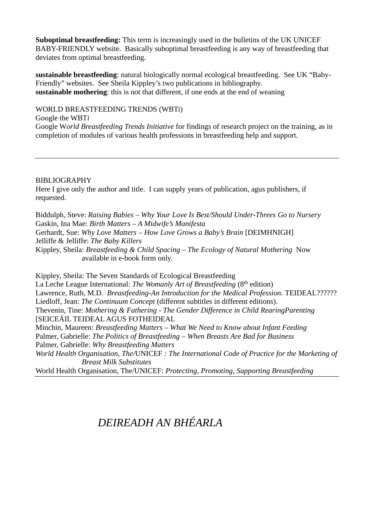**Suboptimal breastfeeding:** This term is increasingly used in the bulletins of the UK UNICEF BABY-FRIENDLY website. Basically suboptimal breastfeeding is any way of breastfeeding that deviates from optimal breastfeeding.

**sustainable breastfeeding**: natural biologically normal ecological breastfeeding. See UK "Baby-Friendly" websites. See Sheila Kippley's two publications in bibliography. **sustainable mothering**: this is not that different, if one ends at the end of weaning

WORLD BREASTFEEDING TRENDS (WBTi) Google the WBT*i* Google W*orld Breastfeeding Trends Initiative* for findings of research project on the training, as in completion of modules of various health professions in breastfeeding help and support.

#### BIBLIOGRAPHY

Here I give only the author and title. I can supply years of publication, agus publishers, if requested.

Biddulph, Steve: *Raising Babies – Why Your Love Is Best/Should Under-Threes Go to Nursery* Gaskin, Ina Mae: *Birth Matters – A Midwife's Manifesta* Gerhardt, Sue: *Why Love Matters – How Love Grows a Baby's Brain* [DEIMHNIGH] Jelliffe & Jelliffe: *The Baby Killers* Kippley, Sheila: *Breastfeeding & Child Spacing – The Ecology of Natural Mothering* Now available in e-book form only.

Kippley, Sheila: The Seven Standards of Ecological Breastfeeding La Leche League International: *The Womanly Art of Breastfeeding* (8<sup>th</sup> edition) Lawrence, Ruth, M.D. *Breastfeeding-An Introduction for the Medical Profession*. TEIDEAL?????? Liedloff, Jean: *The Continuum Concept* (different subtitles in different editions). Thevenin, Tine: *Mothering & Fathering - The Gender Difference in Child RearingParenting* [SEICEÁIL TEIDEAL AGUS FOTHEIDEAL Minchin, Maureen: *Breastfeeding Matters – What We Need to Know about Infant Feeding* Palmer, Gabrielle: *The Politics of Breastfeeding – When Breasts Are Bad for Business* Palmer, Gabrielle: *Why Breastfeeding Matters World Health Organisation, The/*UNICEF *: The International Code of Practice for the Marketing of Breast Milk Substitutes*

World Health Organisation, The/UNICEF: *Protecting, Promoting, Supporting Breastfeeding* 

## *DEIREADH AN BHÉARLA*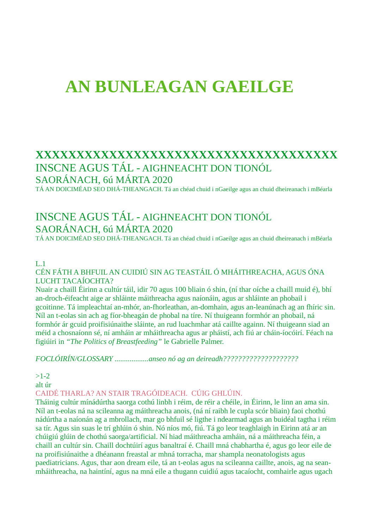# **AN BUNLEAGAN GAEILGE**

## **XXXXXXXXXXXXXXXXXXXXXXXXXXXXXXXXXXXXX** INSCNE AGUS TÁL - AIGHNEACHT DON TIONÓL

## SAORÁNACH, 6ú MÁRTA 2020

TÁ AN DOICIMÉAD SEO DHÁ-THEANGACH. Tá an chéad chuid i nGaeilge agus an chuid dheireanach i mBéarla

## INSCNE AGUS TÁL - AIGHNEACHT DON TIONÓL SAORÁNACH, 6ú MÁRTA 2020

TÁ AN DOICIMÉAD SEO DHÁ-THEANGACH. Tá an chéad chuid i nGaeilge agus an chuid dheireanach i mBéarla

### $L.1$

CÉN FÁTH A BHFUIL AN CUIDIÚ SIN AG TEASTÁIL Ó MHÁITHREACHA, AGUS ÓNA LUCHT TACAÍOCHTA?

Nuair a chaill Éirinn a cultúr táil, idir 70 agus 100 bliain ó shin, (ní thar oíche a chaill muid é), bhí an-droch-éifeacht aige ar shláinte máithreacha agus naíonáin, agus ar shláinte an phobail i gcoitinne. Tá impleachtaí an-mhór, an-fhorleathan, an-domhain, agus an-leanúnach ag an fhíric sin. Níl an t-eolas sin ach ag fíor-bheagán de phobal na tíre. Ní thuigeann formhór an phobail, ná formhór ár gcuid proifisiúnaithe sláinte, an rud luachmhar atá caillte againn. Ní thuigeann siad an méid a chosnaíonn sé, ní amháin ar mháithreacha agus ar pháistí, ach fiú ar cháin-íocóirí. Féach na figiúiri in *"The Politics of Breastfeeding"* le Gabrielle Palmer.

*FOCLÓIRÍN/GLOSSARY ..................anseo nó ag an deireadh????????????????????*

 $>1-2$ 

alt úr

CAIDÉ THARLA? AN STAIR TRAGÓIDEACH. CÚIG GHLÚIN.

Tháinig cultúr mínádúrtha saorga cothú linbh i réim, de réir a chéile, in Éirinn, le linn an ama sin. Níl an t-eolas ná na scileanna ag máithreacha anois, (ná ní raibh le cupla scór bliain) faoi chothú nádúrtha a naíonán ag a mbrollach, mar go bhfuil sé ligthe i ndearmad agus an buidéal tagtha i réim sa tír. Agus sin suas le trí ghlúin ó shin. Nó níos mó, fiú. Tá go leor teaghlaigh in Eirinn atá ar an chúigiú glúin de chothú saorga/artificial. Ní hiad máithreacha amháin, ná a máithreacha féin, a chaill an cultúr sin. Chaill dochtúirí agus banaltraí é. Chaill mná chabhartha é, agus go leor eile de na proifisiúnaithe a dhéanann freastal ar mhná torracha, mar shampla neonatologists agus paediatricians. Agus, thar aon dream eile, tá an t-eolas agus na scileanna caillte, anois, ag na seanmháithreacha, na haintíní, agus na mná eile a thugann cuidiú agus tacaíocht, comhairle agus ugach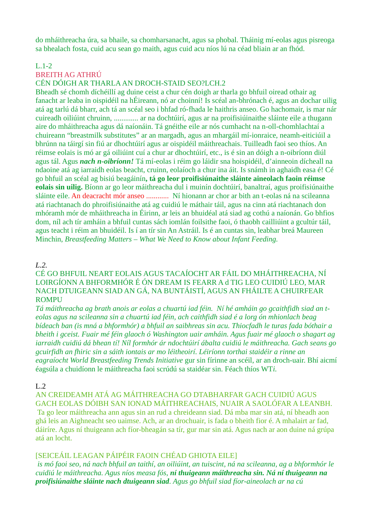do mháithreacha úra, sa bhaile, sa chomharsanacht, agus sa phobal. Tháinig mí-eolas agus pisreoga sa bhealach fosta, cuid acu sean go maith, agus cuid acu níos lú na céad bliain ar an fhód.

#### L.1-2

### BREITH AG ATHRÚ

#### CÉN DÓIGH AR THARLA AN DROCH-STAID SEO?LCH.2

Bheadh sé chomh díchéillí ag duine ceist a chur cén doigh ar tharla go bhfuil oiread othair ag fanacht ar leaba in oispidéil na hÉireann, nó ar choinní! Is scéal an-bhrónach é, agus an dochar uilig atá ag tarlú dá bharr, ach tá an scéal seo i bhfad ró-fhada le haithris anseo. Go hachomair, is mar nár cuireadh oiliúint chruinn, ............. ar na dochtúirí, agus ar na proifisiúinaithe sláinte eile a thugann aire do mháithreacha agus dá naíonáin. Tá gnéithe eile ar nós cumhacht na n-oll-chomhlachtaí a chuireann "breastmilk substitutes" ar an margadh, agus an mhargáil mí-ionraice, neamh-eiticiúil a bhrúnn na táirgí sin fiú ar dhochtúirí agus ar oispidéil máithreachais. Tuilleadh faoi seo thíos. An réimse eolais is mó ar gá oiliúint cuí a chur ar dhochtúirí, etc., is é sin an dóigh a n-oibríonn diúl agus tál. Agus *nach n-oibríonn!* Tá mí-eolas i réim go láidir sna hoispidéil, d'ainneoin dícheall na ndaoine atá ag iarraidh eolas beacht, cruinn, eolaíoch a chur ina áit. Is snámh in aghaidh easa é! Cé go bhfuil an scéal ag bisiú beagáinín**, tá go leor proifisiúnaithe sláinte aineolach faoin réimse eolais sin uilig.** Bíonn ar go leor máithreacha dul i muinín dochtúirí, banaltraí, agus proifisiúnaithe sláinte eile. An deacracht mór anseo ............ Ní hionann ar chor ar bith an t-eolas ná na scileanna atá riachtanach do phroifisiúnaithe atá ag cuidiú le máthair táil, agus na cinn atá riachtanach don mhóramh mór de mháithreacha in Éirinn, ar leis an bhuidéal atá siad ag cothú a naíonán. Go bhfios dom, níl ach tír amháin a bhfuil cuntas sách iomlán foilsithe faoi, ó thaobh cailliúint a gcultúr táil, agus teacht i réim an bhuidéil. Is í an tír sin An Astráil. Is é an cuntas sin, leabhar breá Maureen Minchin, *Breastfeeding Matters – What We Need to Know about Infant Feeding.*

#### *L.2.*

#### CÉ GO BHFUIL NEART EOLAIS AGUS TACAÍOCHT AR FÁIL DO MHÁITHREACHA, NÍ LOIRGÍONN A BHFORMHÓR É ÓN DREAM IS FEARR A d TIG LEO CUIDIÚ LEO, MAR NACH DTUIGEANN SIAD AN GÁ, NA BUNTÁISTÍ, AGUS AN FHÁILTE A CHUIRFEAR **ROMPU**

*Tá máithreacha ag brath anois ar eolas a chuartú iad féin. Ní hé amháin go gcaithfidh siad an teolas agus na scileanna sin a chuartú iad féin, ach caithfidh siad é a lorg ón mhionlach beag bídeach ban (is mná a bhformhór) a bhfuil an saibhreas sin acu. Thiocfadh le turas fada bóthair a bheith i gceist. Fuair mé féin glaoch ó Washington uair amháin. Agus fuair mé glaoch o shagart ag iarraidh cuidiú dá bhean tí! Níl formhór ár ndochtúirí ábalta cuidiú le máithreacha. Gach seans go gcuirfidh an fhiric sin a sáith iontais ar mo léitheoirí. Léiríonn torthai staidéir a rinne an eagraíocht World Breastfeeding Trends Initiative* gur sin fírinne an scéil, ar an droch-uair. Bhí aicmí éagsúla a chuidíonn le máithreacha faoi scrúdú sa staidéar sin. Féach thíos WT*i.*

#### L.2

AN CREIDEAMH ATÁ AG MÁITHREACHA GO DTABHARFAR GACH CUIDIÚ AGUS GACH EOLAS DÓIBH SAN IONAD MÁITHREACHAIS, NUAIR A SAOLÓFAR A LEANBH. Ta go leor máithreacha ann agus sin an rud a chreideann siad. Dá mba mar sin atá, ní bheadh aon ghá leis an Aighneacht seo uaimse. Ach, ar an drochuair, is fada o bheith fior é. A mhalairt ar fad, dáiríre. Agus ní thuigeann ach fíor-bheagán sa tír, gur mar sin atá. Agus nach ar aon duine ná grúpa atá an locht.

#### [SEICEÁIL LEAGAN PÁIPÉIR FAOIN CHÉAD GHIOTA EILE]

*is mó faoi seo, ná nach bhfuil an taithí, an oiliúint, an tuiscint, ná na scileanna, ag a bhformhór le cuidiú le máithreacha. Agus níos measa fós, ní thuigeann máithreacha sin. Ná ní thuigeann na proifisiúnaithe sláinte nach dtuigeann siad. Agus go bhfuil siad fíor-aineolach ar na cú*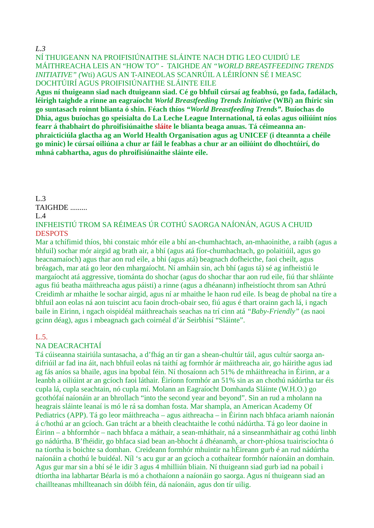*L.3*

NÍ THUIGEANN NA PROIFISIÚNAITHE SLÁINTE NACH DTIG LEO CUIDIÚ LE MÁITHREACHA LEIS AN "HOW TO" - TAIGHDE *AN "WORLD BREASTFEEDING TRENDS INITIATIVE" (*Wti) AGUS AN T-AINEOLAS SCANRÚIL A LÉIRÍONN SÉ I MEASC DOCHTÚIRÍ AGUS PROIFISIÚNAITHE SLÁINTE EILE

**Agus ní thuigeann siad nach dtuigeann siad. Cé go bhfuil cúrsaí ag feabhsú, go fada, fadálach, léirigh taighde a rinne an eagraíocht** *World Breastfeeding Trends Initiative* **(WB***i***) an fhíric sin go suntasach roinnt blianta ó shin. Féach thíos** *"World Breastfeeding Trends".* **Buíochas do Dhia, agus buíochas go speisialta do La Leche League International, tá eolas agus oiliúint níos fearr á thabhairt do phroifisiúnaithe sláite le blianta beaga anuas. Tá céimeanna anphraicticiúla glactha ag an World Health Organisation agus ag UNICEF (i dteannta a chéile go minic) le cúrsaí oiliúna a chur ar fáil le feabhas a chur ar an oiliúint do dhochtúirí, do mhná cabhartha, agus do phroifisiúnaithe sláinte eile.**

 $L.3$ TAIGHDE .........  $L_4$ 

INFHEISTIÚ TROM SA RÉIMEAS ÚR COTHÚ SAORGA NAÍONÁN, AGUS A CHUID **DESPOTS** 

Mar a tchífimid thíos, bhi constaic mhór eile a bhí an-chumhachtach, an-mhaoinithe, a raibh (agus a bhfuil) sochar mór airgid ag brath air, a bhí (agus atá fíor-chumhachtach, go polaitiúil, agus go heacnamaíoch) agus thar aon rud eile, a bhi (agus atá) beagnach dofheicthe, faoi cheilt, agus bréagach, mar atá go leor den mhargaíocht. Ní amháin sin, ach bhí (agus tá) sé ag infheistiú le margaíocht atá aggressive, tiománta do shochar (agus do shochar thar aon rud eile, fiú thar shláinte agus fiú beatha máithreacha agus páisti) a rinne (agus a dhéanann) infheistíocht throm san Athrú Creidimh ar mhaithe le sochar airgid, agus ní ar mhaithe le haon rud eile. Is beag de phobal na tíre a bhfuil aon eolas ná aon tuiscint acu faoin droch-obair seo, fiú agus é thart orainn gach lá, i ngach baile in Eirinn, i ngach oispidéal máithreachais seachas na trí cinn atá *"Baby-Friendly"* (as naoi gcinn déag), agus i mbeagnach gach coirnéal d'ár Seirbhísí "Sláinte".

#### L.5.

#### NA DEACRACHTAÍ

Tá cúiseanna stairiúla suntasacha, a d'fhág an tír gan a shean-chultúr táil, agus cultúr saorga andifriúil ar fad ina áit, nach bhfuil eolas ná taithí ag formhór ár máithreacha air, go háirithe agus iad ag fás aníos sa bhaile, agus ina bpobal féin. Ní thosaíonn ach 51% de mháithreacha in Éirinn, ar a leanbh a oiliúint ar an gcíoch faoi láthair. Éiríonn formhór an 51% sin as an chothú nádúrtha tar éis cupla lá, cupla seachtain, nó cupla mí. Molann an Eagraíocht Domhanda Sláinte (W.H.O.) go gcothófaí naíonáin ar an bhrollach "into the second year and beyond". Sin an rud a mholann na heagrais sláinte leanaí is mó le rá sa domhan fosta. Mar shampla, an American Academy Of Pediatrics (APP). Tá go leor máithreacha – agus aithreacha – in Éirinn nach bhfaca ariamh naíonán á c/hothú ar an gcíoch. Gan trácht ar a bheith cleachtaithe le cothú nádúrtha. Tá go leor daoine in Éirinn – a bhformhór – nach bhfaca a máthair, a sean-mháthair, ná a sinseanmháthair ag cothú linbh go nádúrtha. B'fhéidir, go bhfaca siad bean an-bhocht á dhéanamh, ar chorr-phíosa tuairiscíochta ó na tíortha is boichte sa domhan. Creideann formhór mhuintir na hÉireann gurb é an rud nádúrtha naíonáin a chothú le buidéal. Níl 's acu gur ar an gcíoch a cothaítear formhór naíonáin an domhain. Agus gur mar sin a bhí sé le idir 3 agus 4 mhilliún bliain. Ní thuigeann siad gurb iad na pobail i dtíortha ina labhartar Béarla is mó a chothaíonn a naíonáin go saorga. Agus ní thuigeann siad an chaillteanas mhillteanach sin dóibh féin, dá naíonáin, agus don tír uilig.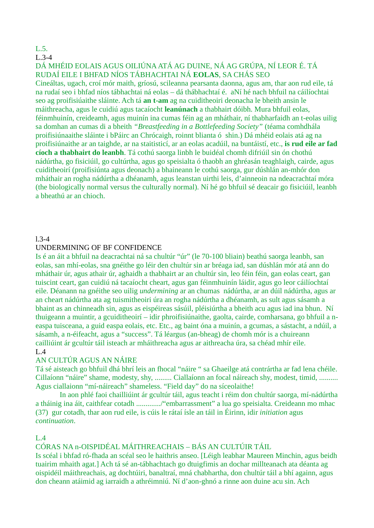## L.5.

L.3-4

#### DÁ MHÉID EOLAIS AGUS OILIÚNA ATÁ AG DUINE, NÁ AG GRÚPA, NÍ LEOR É. TÁ RUDAÍ EILE I BHFAD NÍOS TÁBHACHTAI NÁ **EOLAS**, SA CHÁS SEO

Cineáltas, ugach, croí mór maith, gríosú, scileanna pearsanta daonna, agus am, thar aon rud eile, tá na rudaí seo i bhfad níos tábhachtai ná eolas – dá thábhachtaí é. aNí hé nach bhfuil na cáilíochtai seo ag proifisiúaithe sláinte. Ach tá **an t-am** ag na cuiditheoiri deonacha le bheith ansin le máithreacha, agus le cuidiú agus tacaíocht **leanúnach** a thabhairt dóibh. Mura bhfuil eolas, féinmhuinín, creideamh, agus muinín ina cumas féin ag an mháthair, ní thabharfaidh an t-eolas uilig sa domhan an cumas di a bheith *"Breastfeeding in a Bottlefeeding Society"* (téama comhdhála proifisiúnaaithe sláinte i bPáirc an Chrócaigh, roinnt blianta ó shin.) Dá mhéid eolais atá ag na proifisiúnaithe ar an taighde, ar na staitisticí, ar an eolas acadúil, na buntáistí, etc., **is rud eile ar fad cíoch a thabhairt do leanbh**. Tá cothú saorga linbh le buidéal chomh difriúil sin ón chothú nádúrtha, go fisiciúil, go cultúrtha, agus go speisialta ó thaobh an ghréasán teaghlaigh, cairde, agus cuiditheoirí (proifisiúnta agus deonach) a bhaineann le cothú saorga, gur dúshlán an-mhór don mháthair an rogha nádúrtha a dhéanamh, agus leanstan uirthi leis, d'ainneoin na ndeacrachtaí móra (the biologically normal versus the culturally normal). Ní hé go bhfuil sé deacair go fisiciúil, leanbh a bheathú ar an chioch.

#### l.3-4

#### UNDERMINING OF BF CONFIDENCE

Is é an áit a bhfuil na deacrachtai ná sa chultúr "úr" (le 70-100 bliain) beathú saorga leanbh, san eolas, san mhí-eolas, sna gnéithe go léir den chultúr sin ar bréaga iad, san dúshlán mór atá ann do mháthair úr, agus athair úr, aghaidh a thabhairt ar an chultúr sin, leo féin féin, gan eolas ceart, gan tuiscint ceart, gan cuidiú ná tacaíocht cheart, agus gan féinmhuinín láidir, agus go leor cáilíochtaí eile. Déanann na gnéithe seo uilig *undermining* ar an chumas nádúrtha, ar an dúil nádúrtha, agus ar an cheart nádúrtha ata ag tuismitheoiri úra an rogha nádúrtha a dhéanamh, as sult agus sásamh a bhaint as an chinneadh sin, agus as eispéireas sásúil, pléisiúrtha a bheith acu agus iad ina bhun. Ní thuigeann a muintir, a gcuiditheoirí – idir phroifisiúnaithe, gaolta, cairde, comharsana, go bhfuil a neaspa tuisceana, a guid easpa eolais, etc. Etc., ag baint óna a muinín, a gcumas, a sástacht, a ndúil, a sásamh, a n-éifeacht, agus a "success". Tá léargus (an-bheag) de chomh mór is a chuireann cailliúint ár gcultúr táil isteach ar mháithreacha agus ar aithreacha úra, sa chéad mhír eile. L.4

#### AN CULTÚR AGUS AN NÁIRE

Tá sé aisteach go bhfuil dhá bhrí leis an fhocal "náire " sa Ghaeilge atá contrártha ar fad lena chéile. Cillaíonn "náire" shame, modesty, shy, ......... Ciallaíonn an focal náireach shy, modest, timid, .......... Agus ciallaionn "mí-náireach" shameless. "Field day" do na síceolaithe!

In aon phlé faoi chailliúint ár gcultúr táil, agus teacht i réim don chultúr saorga, mí-nádúrtha a tháinig ina áit, caithfear cotadh ............./"embarrassment" a lua go speisialta. Creideann mo mhac (37) gur cotadh, thar aon rud eile, is cúis le rátaí ísle an táil in Éirinn, idir *initiation* agus *continuation*.

#### L.4

#### CÓRAS NA n-OISPIDÉAL MÁITHREACHAIS – BÁS AN CULTÚIR TÁIL

Is scéal i bhfad ró-fhada an scéal seo le haithris anseo. [Léigh leabhar Maureen Minchin, agus beidh tuairim mhaith agat.] Ach tá sé an-tábhachtach go dtuigfimis an dochar millteanach ata déanta ag oispidéil máithreachais, ag dochtúiri, banaltraí, mná chabhartha, don chultúr táil a bhí againn, agus don cheann atáimid ag iarraidh a athréimniú. Ní d'aon-ghnó a rinne aon duine acu sin. Ach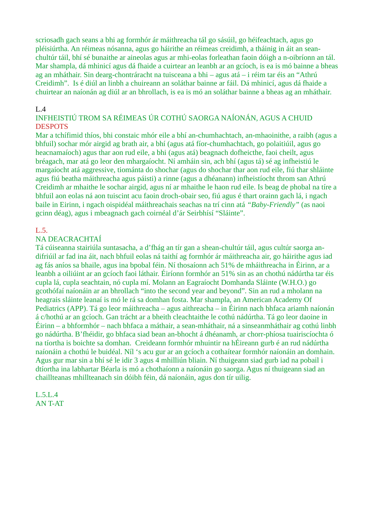scriosadh gach seans a bhi ag formhór ár máithreacha tál go sásúil, go héifeachtach, agus go pléisiúrtha. An réimeas nósanna, agus go háirithe an réimeas creidimh, a tháinig in áit an seanchultúr táil, bhí sé bunaithe ar aineolas agus ar mhi-eolas forleathan faoin dóigh a n-oibríonn an tál. Mar shampla, dá mhinicí agus dá fhaide a cuirtear an leanbh ar an gcíoch, is ea is mó bainne a bheas ag an mháthair. Sin dearg-chontráracht na tuisceana a bhi – agus atá – i réim tar éis an "Athrú Creidimh". Is é diúl an linbh a chuireann an soláthar bainne ar fáil. Dá mhinicí, agus dá fhaide a chuirtear an naíonán ag diúl ar an bhrollach, is ea is mó an soláthar bainne a bheas ag an mháthair.

#### $L.4$

## INFHEISTIÚ TROM SA RÉIMEAS ÚR COTHÚ SAORGA NAÍONÁN, AGUS A CHUID DESPOTS

Mar a tchífimid thíos, bhi constaic mhór eile a bhí an-chumhachtach, an-mhaoinithe, a raibh (agus a bhfuil) sochar mór airgid ag brath air, a bhí (agus atá fíor-chumhachtach, go polaitiúil, agus go heacnamaíoch) agus thar aon rud eile, a bhi (agus atá) beagnach dofheicthe, faoi cheilt, agus bréagach, mar atá go leor den mhargaíocht. Ní amháin sin, ach bhí (agus tá) sé ag infheistiú le margaíocht atá aggressive, tiománta do shochar (agus do shochar thar aon rud eile, fiú thar shláinte agus fiú beatha máithreacha agus páisti) a rinne (agus a dhéanann) infheistíocht throm san Athrú Creidimh ar mhaithe le sochar airgid, agus ní ar mhaithe le haon rud eile. Is beag de phobal na tíre a bhfuil aon eolas ná aon tuiscint acu faoin droch-obair seo, fiú agus é thart orainn gach lá, i ngach baile in Eirinn, i ngach oispidéal máithreachais seachas na trí cinn atá *"Baby-Friendly"* (as naoi gcinn déag), agus i mbeagnach gach coirnéal d'ár Seirbhísí "Sláinte".

## L.5.

#### NA DEACRACHTAÍ

Tá cúiseanna stairiúla suntasacha, a d'fhág an tír gan a shean-chultúr táil, agus cultúr saorga andifriúil ar fad ina áit, nach bhfuil eolas ná taithí ag formhór ár máithreacha air, go háirithe agus iad ag fás aníos sa bhaile, agus ina bpobal féin. Ní thosaíonn ach 51% de mháithreacha in Éirinn, ar a leanbh a oiliúint ar an gcíoch faoi láthair. Éiríonn formhór an 51% sin as an chothú nádúrtha tar éis cupla lá, cupla seachtain, nó cupla mí. Molann an Eagraíocht Domhanda Sláinte (W.H.O.) go gcothófaí naíonáin ar an bhrollach "into the second year and beyond". Sin an rud a mholann na heagrais sláinte leanaí is mó le rá sa domhan fosta. Mar shampla, an American Academy Of Pediatrics (APP). Tá go leor máithreacha – agus aithreacha – in Éirinn nach bhfaca ariamh naíonán á c/hothú ar an gcíoch. Gan trácht ar a bheith cleachtaithe le cothú nádúrtha. Tá go leor daoine in Éirinn – a bhformhór – nach bhfaca a máthair, a sean-mháthair, ná a sinseanmháthair ag cothú linbh go nádúrtha. B'fhéidir, go bhfaca siad bean an-bhocht á dhéanamh, ar chorr-phíosa tuairiscíochta ó na tíortha is boichte sa domhan. Creideann formhór mhuintir na hÉireann gurb é an rud nádúrtha naíonáin a chothú le buidéal. Níl 's acu gur ar an gcíoch a cothaítear formhór naíonáin an domhain. Agus gur mar sin a bhí sé le idir 3 agus 4 mhilliún bliain. Ní thuigeann siad gurb iad na pobail i dtíortha ina labhartar Béarla is mó a chothaíonn a naíonáin go saorga. Agus ní thuigeann siad an chaillteanas mhillteanach sin dóibh féin, dá naíonáin, agus don tír uilig.

#### L.5.L.4 AN T-AT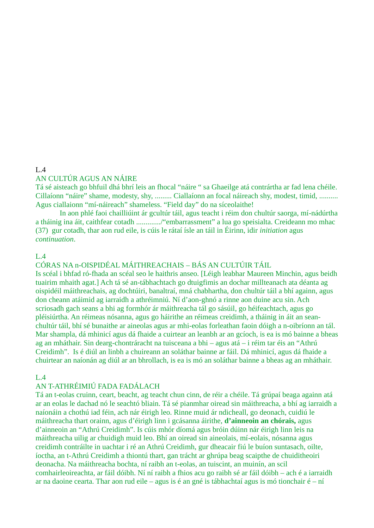#### $L.4$ AN CULTÚR AGUS AN NÁIRE

Tá sé aisteach go bhfuil dhá bhrí leis an fhocal "náire " sa Ghaeilge atá contrártha ar fad lena chéile. Cillaíonn "náire" shame, modesty, shy, ......... Ciallaíonn an focal náireach shy, modest, timid, .......... Agus ciallaionn "mí-náireach" shameless. "Field day" do na síceolaithe!

In aon phlé faoi chailliúint ár gcultúr táil, agus teacht i réim don chultúr saorga, mí-nádúrtha a tháinig ina áit, caithfear cotadh ............./"embarrassment" a lua go speisialta. Creideann mo mhac (37) gur cotadh, thar aon rud eile, is cúis le rátaí ísle an táil in Éirinn, idir *initiation* agus *continuation*.

#### L.4

CÓRAS NA n-OISPIDÉAL MÁITHREACHAIS – BÁS AN CULTÚIR TÁIL

Is scéal i bhfad ró-fhada an scéal seo le haithris anseo. [Léigh leabhar Maureen Minchin, agus beidh tuairim mhaith agat.] Ach tá sé an-tábhachtach go dtuigfimis an dochar millteanach ata déanta ag oispidéil máithreachais, ag dochtúiri, banaltraí, mná chabhartha, don chultúr táil a bhí againn, agus don cheann atáimid ag iarraidh a athréimniú. Ní d'aon-ghnó a rinne aon duine acu sin. Ach scriosadh gach seans a bhi ag formhór ár máithreacha tál go sásúil, go héifeachtach, agus go pléisiúrtha. An réimeas nósanna, agus go háirithe an réimeas creidimh, a tháinig in áit an seanchultúr táil, bhí sé bunaithe ar aineolas agus ar mhi-eolas forleathan faoin dóigh a n-oibríonn an tál. Mar shampla, dá mhinicí agus dá fhaide a cuirtear an leanbh ar an gcíoch, is ea is mó bainne a bheas ag an mháthair. Sin dearg-chontráracht na tuisceana a bhi – agus atá – i réim tar éis an "Athrú Creidimh". Is é diúl an linbh a chuireann an soláthar bainne ar fáil. Dá mhinicí, agus dá fhaide a chuirtear an naíonán ag diúl ar an bhrollach, is ea is mó an soláthar bainne a bheas ag an mháthair.

#### $L.4$

### AN T-ATHRÉIMIÚ FADA FADÁLACH

Tá an t-eolas cruinn, ceart, beacht, ag teacht chun cinn, de réir a chéile. Tá grúpaí beaga againn atá ar an eolas le dachad nó le seachtó bliain. Tá sé pianmhar oiread sin máithreacha, a bhí ag iarraidh a naíonáin a chothú iad féin, ach nár éirigh leo. Rinne muid ár ndicheall, go deonach, cuidiú le máithreacha thart orainn, agus d'éirigh linn i gcásanna áirithe, **d'ainneoin an chórais,** agus d'ainneoin an "Athrú Creidimh". Is cúis mhór díomá agus bróin dúinn nár éirigh linn leis na máithreacha uilig ar chuidigh muid leo. Bhí an oiread sin aineolais, mí-eolais, nósanna agus creidimh contráilte in uachtar i ré an Athrú Creidimh, gur dheacair fiú le buíon suntasach, oilte, íoctha, an t-Athrú Creidimh a thiontú thart, gan trácht ar ghrúpa beag scaipthe de chuiditheoiri deonacha. Na máithreacha bochta, ní raibh an t-eolas, an tuiscint, an muinín, an scil comhairleoireachta, ar fáil dóibh. Ní ní raibh a fhios acu go raibh sé ar fáil dóibh – ach é a iarraidh ar na daoine cearta. Thar aon rud eile – agus is é an gné is tábhachtaí agus is mó tionchair é – ní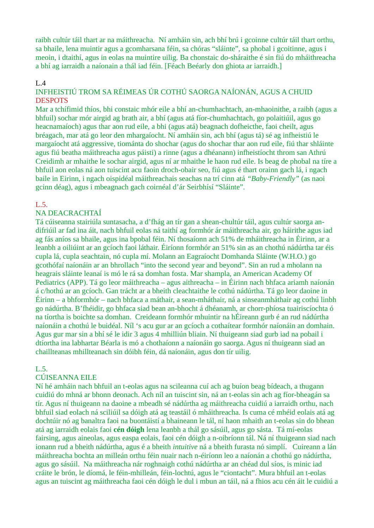raibh cultúr táil thart ar na máithreacha. Ní amháin sin, ach bhí brú i gcoinne cultúr táil thart orthu, sa bhaile, lena muintir agus a gcomharsana féin, sa chóras "sláinte", sa phobal i gcoitinne, agus i meoin, i dtaithí, agus in eolas na muintire uilig. Ba chonstaic do-sháraithe é sin fiú do mháithreacha a bhí ag iarraidh a naíonain a thál iad féin. [Féach Beéarly don ghiota ar iarraidh.]

#### L.4

### INFHEISTIÚ TROM SA RÉIMEAS ÚR COTHÚ SAORGA NAÍONÁN, AGUS A CHUID **DESPOTS**

Mar a tchífimid thíos, bhi constaic mhór eile a bhí an-chumhachtach, an-mhaoinithe, a raibh (agus a bhfuil) sochar mór airgid ag brath air, a bhí (agus atá fíor-chumhachtach, go polaitiúil, agus go heacnamaíoch) agus thar aon rud eile, a bhi (agus atá) beagnach dofheicthe, faoi cheilt, agus bréagach, mar atá go leor den mhargaíocht. Ní amháin sin, ach bhí (agus tá) sé ag infheistiú le margaíocht atá aggressive, tiománta do shochar (agus do shochar thar aon rud eile, fiú thar shláinte agus fiú beatha máithreacha agus páisti) a rinne (agus a dhéanann) infheistíocht throm san Athrú Creidimh ar mhaithe le sochar airgid, agus ní ar mhaithe le haon rud eile. Is beag de phobal na tíre a bhfuil aon eolas ná aon tuiscint acu faoin droch-obair seo, fiú agus é thart orainn gach lá, i ngach baile in Eirinn, i ngach oispidéal máithreachais seachas na trí cinn atá *"Baby-Friendly"* (as naoi gcinn déag), agus i mbeagnach gach coirnéal d'ár Seirbhísí "Sláinte".

#### L.5.

#### NA DEACRACHTAÍ

Tá cúiseanna stairiúla suntasacha, a d'fhág an tír gan a shean-chultúr táil, agus cultúr saorga andifriúil ar fad ina áit, nach bhfuil eolas ná taithí ag formhór ár máithreacha air, go háirithe agus iad ag fás aníos sa bhaile, agus ina bpobal féin. Ní thosaíonn ach 51% de mháithreacha in Éirinn, ar a leanbh a oiliúint ar an gcíoch faoi láthair. Éiríonn formhór an 51% sin as an chothú nádúrtha tar éis cupla lá, cupla seachtain, nó cupla mí. Molann an Eagraíocht Domhanda Sláinte (W.H.O.) go gcothófaí naíonáin ar an bhrollach "into the second year and beyond". Sin an rud a mholann na heagrais sláinte leanaí is mó le rá sa domhan fosta. Mar shampla, an American Academy Of Pediatrics (APP). Tá go leor máithreacha – agus aithreacha – in Éirinn nach bhfaca ariamh naíonán á c/hothú ar an gcíoch. Gan trácht ar a bheith cleachtaithe le cothú nádúrtha. Tá go leor daoine in Éirinn – a bhformhór – nach bhfaca a máthair, a sean-mháthair, ná a sinseanmháthair ag cothú linbh go nádúrtha. B'fhéidir, go bhfaca siad bean an-bhocht á dhéanamh, ar chorr-phíosa tuairiscíochta ó na tíortha is boichte sa domhan. Creideann formhór mhuintir na hÉireann gurb é an rud nádúrtha naíonáin a chothú le buidéal. Níl 's acu gur ar an gcíoch a cothaítear formhór naíonáin an domhain. Agus gur mar sin a bhí sé le idir 3 agus 4 mhilliún bliain. Ní thuigeann siad gurb iad na pobail i dtíortha ina labhartar Béarla is mó a chothaíonn a naíonáin go saorga. Agus ní thuigeann siad an chaillteanas mhillteanach sin dóibh féin, dá naíonáin, agus don tír uilig.

#### L.5.

#### CÚISEANNA EILE

Ní hé amháin nach bhfuil an t-eolas agus na scileanna cuí ach ag buíon beag bídeach, a thugann cuidiú do mhná ar bhonn deonach. Ach níl an tuiscint sin, ná an t-eolas sin ach ag fíor-bheagán sa tír. Agus ní thuigeann na daoine a mbeadh sé nádúrtha ag máithreacha cuidiú a iarraidh orthu, nach bhfuil siad eolach ná sciliúil sa dóigh atá ag teastáil ó mháithreacha. Is cuma cé mhéid eolais atá ag dochtúir nó ag banaltra faoi na buontáistí a bhaineann le tál, ní haon mhaith an t-eolas sin do bhean atá ag iarraidh eolais faoi **cén dóigh** lena leanbh a thál go sásúil, agus go sásta. Tá mí-eolas fairsing, agus aineolas, agus easpa eolais, faoi cén dóigh a n-oibríonn tál. Ná ní thuigeann siad nach ionann rud a bheith nádúrtha, agus é a bheith *intuitive* ná a bheith furasta nó simplí. Cuireann a lán máithreacha bochta an milleán orthu féin nuair nach n-éiríonn leo a naíonán a chothú go nádúrtha, agus go sásúil. Na máithreacha nár roghnaigh cothú nádúrtha ar an chéad dul síos, is minic iad cráite le brón, le díomá, le féin-mhilleán, féin-lochtú, agus le "ciontacht". Mura bhfuil an t-eolas agus an tuiscint ag máithreacha faoi cén dóigh le dul i mbun an táil, ná a fhios acu cén áit le cuidiú a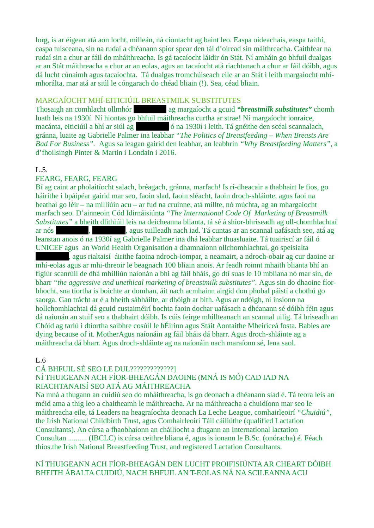lorg, is ar éigean atá aon locht, milleán, ná ciontacht ag baint leo. Easpa oideachais, easpa taithí, easpa tuisceana, sin na rudaí a dhéanann spior spear den tál d'oiread sin máithreacha. Caithfear na rudaí sin a chur ar fáil do mháithreacha. Is gá tacaíocht láidir ón Stát. Ní amháin go bhfuil dualgas ar an Stát máithreacha a chur ar an eolas, agus an tacaíocht atá riachtanach a chur ar fáil dóibh, agus dá lucht cúnaimh agus tacaíochta. Tá dualgas tromchúiseach eile ar an Stát i leith margaíocht mhímhorálta, mar atá ar siúl le cóngarach do chéad bliain (!). Sea, céad bliain.

#### MARGAÍOCHT MHÍ-EITICIÚIL BREASTMILK SUBSTITUTES

Thosaigh an comhlacht ollmhór [Redacted] ag margaíocht a gcuid *"breastmilk substitutes"* chomh luath leis na 1930í. Ní hiontas go bhfuil máithreacha curtha ar strae! Ní margaíocht ionraice, macánta, eiticiúil a bhí ar siúl ag **an céal scáitear ó na 1930í i leith. Tá gnéithe den scéal scannalach**, gránna, luaite ag Gabrielle Palmer ina leabhar *"The Politics of Breastfeeding – When Breasts Are Bad For Business".* Agus sa leagan gairid den leabhar, an leabhrín *"Why Breastfeeding Matters",* a d'fhoilsingh Pinter & Martin i Londain i 2016.

#### L.5.

#### FEARG, FEARG, FEARG

Bí ag caint ar pholaitíocht salach, bréagach, gránna, marfach! Is rí-dheacair a thabhairt le fios, go háirithe i bpáipéar gairid mar seo, faoin slad, faoin sléacht, faoin droch-shláinte, agus faoi na beathaí go léir – na milliúin acu – ar fud na cruinne, atá millte, nó múchta, ag an mhargaíocht marfach seo. D'ainneoin Cód Idirnáisiúnta *"The International Code Of Marketing of Breastmilk Substitutes"* a bheith dlithiúil leis na deicheanna blianta, tá sé á shíor-bhriseadh ag oll-chomhlachtaí ar nós [Redacted], [Redacted], agus tuilleadh nach iad. Tá cuntas ar an scannal uafásach seo, atá ag leanstan anois ó na 1930í ag Gabrielle Palmer ina dhá leabhar thuasluaite. Tá tuairiscí ar fáil ó UNICEF agus an World Health Organisation a dhamnaíonn ollchomhlachtaí, go speisialta , agus rialtaisí áirithe faoina ndroch-iompar, a neamairt, a ndroch-obair ag cur daoine ar

mhí-eolas agus ar mhi-threoir le beagnach 100 bliain anois. Ar feadh roinnt mhaith blianta bhí an figiúr scanrúil de dhá mhilliún naíonán a bhi ag fáil bháis, go dtí suas le 10 mbliana nó mar sin, de bharr *"the aggressive and unethical marketing of breastmilk substitutes"*. Agus sin do dhaoine fíorbhocht, sna tíortha is boichte ar domhan, áit nach acmhainn airgid don phobal páistí a chothú go saorga. Gan trácht ar é a bheith sábháilte, ar dhóigh ar bith. Agus ar ndóigh, ní insíonn na hollchomhlachtai dá gcuid custaiméirí bochta faoin dochar uafásach a dhéanann sé dóibh féin agus dá naíonán an stuif seo a thabhairt dóibh. Is cúis feirge mhillteanach an scannal uilig. Tá briseadh an Chóid ag tarlú i dtíortha saibhre cosúil le hÉirinn agus Stáit Aontaithe Mheiriceá fosta. Babies are dying because of it. MotherAgus naíonáin ag fáil bháis dá bharr. Agus droch-shláinte ag a máithreacha dá bharr. Agus droch-shláinte ag na naíonáin nach maraíonn sé, lena saol.

#### L.6

#### CÁ BHFUIL SÉ SEO LE DUL?????????????]

#### NÍ THUIGEANN ACH FÍOR-BHEAGÁN DAOINE (MNÁ IS MÓ) CAD IAD NA RIACHTANAISÍ SEO ATÁ AG MÁITHREACHA

Na mná a thugann an cuidiú seo do mháithreacha, is go deonach a dhéanann siad é. Tá teora leis an méid ama a thig leo a chaitheamh le máithreacha. Ar na máithreacha a chuidíonn mar seo le máithreacha eile, tá Leaders na heagraíochta deonach La Leche League, comhairleoirí *"Chuidiú",*  the Irish National Childbirth Trust, agus Comhairleoirí Táil cáiliúthe (qualified Lactation Consultants). An cúrsa a fhaobhaíonn an cháilíocht a dtugann an International lactation Consultan .......... (IBCLC) is cúrsa ceithre bliana é, agus is ionann le B.Sc. (onóracha) é. Féach thíos.the Irish National Breastfeeding Trust, and registered Lactation Consultants.

#### NÍ THUIGEANN ACH FÍOR-BHEAGÁN DEN LUCHT PROIFISIÚNTA AR CHEART DÓIBH BHEITH ÁBALTA CUIDIÚ, NACH BHFUIL AN T-EOLAS NÁ NA SCILEANNA ACU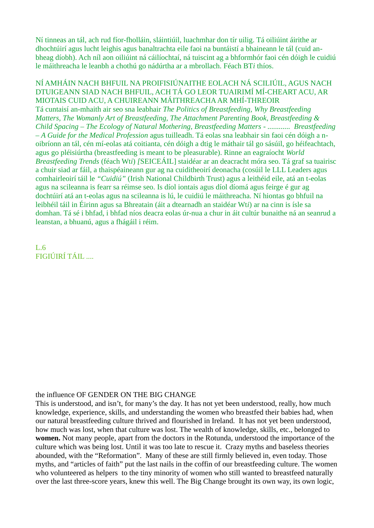Ní tinneas an tál, ach rud fíor-fholláin, sláintiúil, luachmhar don tír uilig. Tá oiliúint áirithe ar dhochtúirí agus lucht leighis agus banaltrachta eile faoi na buntáistí a bhaineann le tál (cuid anbheag díobh). Ach níl aon oiliúint ná cáilíochtaí, ná tuiscint ag a bhformhór faoi cén dóigh le cuidiú le máithreacha le leanbh a chothú go nádúrtha ar a mbrollach. Féach BT*i* thíos.

NÍ AMHÁIN NACH BHFUIL NA PROIFISIÚNAITHE EOLACH NÁ SCILIÚIL, AGUS NACH DTUIGEANN SIAD NACH BHFUIL, ACH TÁ GO LEOR TUAIRIMÍ MÍ-CHEART ACU, AR MIOTAIS CUID ACU, A CHUIREANN MÁITHREACHA AR MHÍ-THREOIR Tá cuntaisí an-mhaith air seo sna leabhair *The Politics of Breastfeeding, Why Breastfeeding Matters, The Womanly Art of Breastfeeding, The Attachment Parenting Book, Breastfeeding & Child Spacing – The Ecology of Natural Mothering, Breastfeeding Matters - ............ Breastfeeding – A Guide for the Medical Profession* agus tuilleadh. Tá eolas sna leabhair sin faoi cén dóigh a noibríonn an tál, cén mí-eolas atá coitianta, cén dóigh a dtig le máthair tál go sásúil, go héifeachtach, agus go pléisiúrtha (breastfeeding is meant to be pleasurable). Rinne an eagraíocht *World Breastfeeding Trends* (féach Wt*i*) *[*SEICEÁIL] staidéar ar an deacracht móra seo. Tá graf sa tuairisc a chuir siad ar fáil, a thaispéaineann gur ag na cuiditheoirí deonacha (cosúil le LLL Leaders agus comhairleoirí táil le *"Cuidiú"* (Irish National Childbirth Trust) agus a leithéid eile, atá an t-eolas agus na scileanna is fearr sa réimse seo. Is díol iontais agus díol díomá agus feirge é gur ag dochtúirí atá an t-eolas agus na scileanna is lú, le cuidiú le máithreacha. Ní hiontas go bhfuil na leibhéil táil in Éirinn agus sa Bhreatain (áit a dtearnadh an staidéar Wt*i*) ar na cinn is ísle sa domhan. Tá sé i bhfad, i bhfad níos deacra eolas úr-nua a chur in áit cultúr bunaithe ná an seanrud a leanstan, a bhuanú, agus a fhágáil i réim.

L.6 FIGIÚIRÍ TÁIL ....

#### the influence OF GENDER ON THE BIG CHANGE

This is understood, and isn't, for many's the day. It has not yet been understood, really, how much knowledge, experience, skills, and understanding the women who breastfed their babies had, when our natural breastfeeding culture thrived and flourished in Ireland. It has not yet been understood, how much was lost, when that culture was lost. The wealth of knowledge, skills, etc., belonged to **women.** Not many people, apart from the doctors in the Rotunda, understood the importance of the culture which was being lost. Until it was too late to rescue it. Crazy myths and baseless theories abounded, with the "Reformation". Many of these are still firmly believed in, even today. Those myths, and "articles of faith" put the last nails in the coffin of our breastfeeding culture. The women who volunteered as helpers to the tiny minority of women who still wanted to breastfeed naturally over the last three-score years, knew this well. The Big Change brought its own way, its own logic,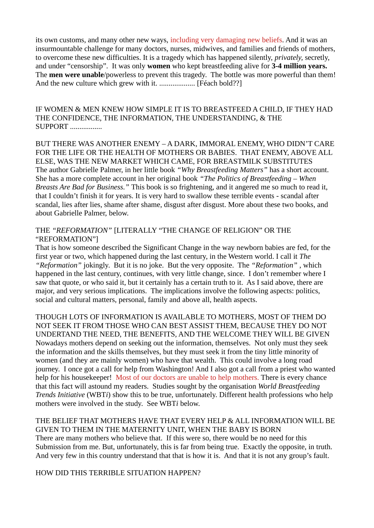its own customs, and many other new ways, including very damaging new beliefs. And it was an insurmountable challenge for many doctors, nurses, midwives, and families and friends of mothers, to overcome these new difficulties. It is a tragedy which has happened silently, *privately,* secretly, and under "censorship". It was only **women** who kept breastfeeding alive for **3-4 million years.** The **men were unable**/powerless to prevent this tragedy. The bottle was more powerful than them! And the new culture which grew with it. ................... [Féach bold??]

IF WOMEN & MEN KNEW HOW SIMPLE IT IS TO BREASTFEED A CHILD, IF THEY HAD THE CONFIDENCE, THE INFORMATION, THE UNDERSTANDING, & THE SUPPORT .................

BUT THERE WAS ANOTHER ENEMY – A DARK, IMMORAL ENEMY, WHO DIDN'T CARE FOR THE LIFE OR THE HEALTH OF MOTHERS OR BABIES. THAT ENEMY, ABOVE ALL ELSE, WAS THE NEW MARKET WHICH CAME, FOR BREASTMILK SUBSTITUTES The author Gabrielle Palmer, in her little book *"Why Breastfeeding Matters"* has a short account. She has a more complete account in her original book *"The Politics of Breastfeeding – When Breasts Are Bad for Business."* This book is so frightening, and it angered me so much to read it, that I couldn't finish it for years. It is very hard to swallow these terrible events - scandal after scandal, lies after lies, shame after shame, disgust after disgust. More about these two books, and about Gabrielle Palmer, below.

#### THE *"REFORMATION"* [LITERALLY "THE CHANGE OF RELIGION" OR THE "REFORMATION"]

That is how someone described the Significant Change in the way newborn babies are fed, for the first year or two, which happened during the last century, in the Western world. I call it *The "Reformation"* jokingly. But it is no joke. But the very opposite. The *"Reformation"* , which happened in the last century, continues, with very little change, since. I don't remember where I saw that quote, or who said it, but it certainly has a certain truth to it. As I said above, there are major, and very serious implications. The implications involve the following aspects: politics, social and cultural matters, personal, family and above all, health aspects.

THOUGH LOTS OF INFORMATION IS AVAILABLE TO MOTHERS, MOST OF THEM DO NOT SEEK IT FROM THOSE WHO CAN BEST ASSIST THEM, BECAUSE THEY DO NOT UNDERTAND THE NEED, THE BENEFITS, AND THE WELCOME THEY WILL BE GIVEN Nowadays mothers depend on seeking out the information, themselves. Not only must they seek the information and the skills themselves, but they must seek it from the tiny little minority of women (and they are mainly women) who have that wealth. This could involve a long road journey. I once got a call for help from Washington! And I also got a call from a priest who wanted help for his housekeeper! Most of our doctors are unable to help mothers. There is every chance that this fact will astound my readers. Studies sought by the organisation *World Breastfeeding Trends Initiative* (WBT*i*) show this to be true, unfortunately. Different health professions who help mothers were involved in the study. See WBT*i* below.

THE BELIEF THAT MOTHERS HAVE THAT EVERY HELP & ALL INFORMATION WILL BE GIVEN TO THEM IN THE MATERNITY UNIT, WHEN THE BABY IS BORN There are many mothers who believe that. If this were so, there would be no need for this Submission from me. But, unfortunately, this is far from being true. Exactly the opposite, in truth. And very few in this country understand that that is how it is. And that it is not any group's fault.

HOW DID THIS TERRIBLE SITUATION HAPPEN?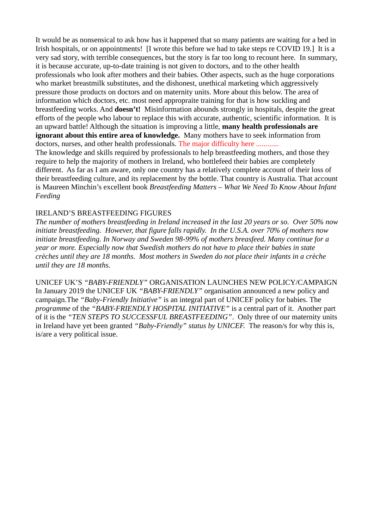It would be as nonsensical to ask how has it happened that so many patients are waiting for a bed in Irish hospitals, or on appointments! [I wrote this before we had to take steps re COVID 19.] It is a very sad story, with terrible consequences, but the story is far too long to recount here. In summary, it is because accurate, up-to-date training is not given to doctors, and to the other health professionals who look after mothers and their babies. Other aspects, such as the huge corporations who market breastmilk substitutes, and the dishonest, unethical marketing which aggressively pressure those products on doctors and on maternity units. More about this below. The area of information which doctors, etc. most need appropraite training for that is how suckling and breastfeeding works. And **doesn't!** Misinformation abounds strongly in hospitals, despite the great efforts of the people who labour to replace this with accurate, authentic, scientific information. It is an upward battle! Although the situation is improving a little, **many health professionals are ignorant about this entire area of knowledge.** Many mothers have to seek information from doctors, nurses, and other health professionals. The major difficulty here ............

The knowledge and skills required by professionals to help breastfeeding mothers, and those they require to help the majority of mothers in Ireland, who bottlefeed their babies are completely different. As far as I am aware, only one country has a relatively complete account of their loss of their breastfeeding culture, and its replacement by the bottle. That country is Australia. That account is Maureen Minchin's excellent book *Breastfeeding Matters – What We Need To Know About Infant Feeding*

#### IRELAND'S BREASTFEEDING FIGURES

*The number of mothers breastfeeding in Ireland increased in the last 20 years or so. Over 50% now initiate breastfeeding. However, that figure falls rapidly. In the U.S.A. over 70% of mothers now initiate breastfeeding. In Norway and Sweden 98-99% of mothers breasfeed. Many continue for a year or more. Especially now that Swedish mothers do not have to place their babies in state crèches until they are 18 months. Most mothers in Sweden do not place their infants in a crèche until they are 18 months.*

UNICEF UK'S *"BABY-FRIENDLY"* ORGANISATION LAUNCHES NEW POLICY/CAMPAIGN In January 2019 the UNICEF UK *"BABY-FRIENDLY"* organisation announced a new policy and campaign.The *"Baby-Friendly Initiative"* is an integral part of UNICEF policy for babies. The *programme* of the *"BABY-FRIENDLY HOSPITAL INITIATIVE"* is a central part of it. Another part of it is the *"TEN STEPS TO SUCCESSFUL BREASTFEEDING"*. Only three of our maternity units in Ireland have yet been granted *"Baby-Friendly" status by UNICEF.* The reason/s for why this is, is/are a very political issue.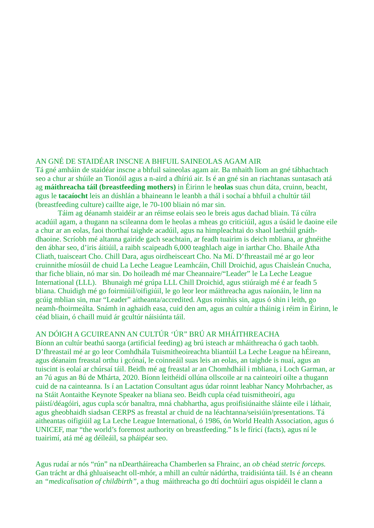#### AN GNÉ DE STAIDÉAR INSCNE A BHFUIL SAINEOLAS AGAM AIR

Tá gné amháin de staidéar inscne a bhfuil saineolas agam air. Ba mhaith liom an gné tábhachtach seo a chur ar shúile an Tionóil agus a n-aird a dhíriú air. Is é an gné sin an riachtanas suntasach atá ag **máithreacha táil (breastfeeding mothers)** in Éirinn le h**eolas** suas chun dáta, cruinn, beacht, agus le **tacaíocht** leis an dúshlán a bhaineann le leanbh a thál i sochaí a bhfuil a chultúr táil (breastfeeding culture) caillte aige, le 70-100 bliain nó mar sin.

Táim ag déanamh staidéir ar an réimse eolais seo le breis agus dachad bliain. Tá cúlra acadúil agam, a thugann na scileanna dom le heolas a mheas go criticiúil, agus a úsáid le daoine eile a chur ar an eolas, faoi thorthaí taighde acadúil, agus na himpleachtai do shaol laethúil gnáthdhaoine. Scríobh mé altanna gairide gach seachtain, ar feadh tuairim is deich mbliana, ar ghnéithe den ábhar seo, d'iris áitiúil, a raibh scaipeadh 6,000 teaghlach aige in iarthar Cho. Bhaile Atha Cliath, tuaisceart Cho. Chill Dara, agus oirdheisceart Cho. Na Mí. D'fhreastail mé ar go leor cruinnithe míosúil de chuid La Leche League Leamhcáin, Chill Droichid, agus Chaisleán Cnucha, thar fiche bliain, nó mar sin. Do hoileadh mé mar Cheannaire/"Leader" le La Leche League International (LLL). Bhunaigh mé grúpa LLL Chill Droichid, agus stiúraigh mé é ar feadh 5 bliana. Chuidigh mé go foirmiúil/oifigiúil, le go leor leor máithreacha agus naíonáin, le linn na gcúig mblian sin, mar "Leader" aitheanta/accredited. Agus roimhis sin, agus ó shin i leith, go neamh-fhoirmeálta. Snámh in aghaidh easa, cuid den am, agus an cultúr a tháinig i réim in Éirinn, le céad bliain, ó chaill muid ár gcultúr náisiúnta táil.

### AN DÓIGH A GCUIREANN AN CULTÚR 'ÚR" BRÚ AR MHÁITHREACHA

Bíonn an cultúr beathú saorga (artificial feeding) ag brú isteach ar mháithreacha ó gach taobh. D'fhreastail mé ar go leor Comhdhála Tuismitheoireachta bliantúil La Leche League na hÉireann, agus déanaim freastal orthu i gcónaí, le coinneáil suas leis an eolas, an taighde is nuaí, agus an tuiscint is eolaí ar chúrsaí táil. Beidh mé ag freastal ar an Chomhdháil i mbliana, i Loch Garman, ar an 7ú agus an 8ú de Mhárta, 2020. Bíonn leithéidí ollúna ollscoile ar na cainteoirí oilte a thugann cuid de na cainteanna. Is í an Lactation Consultant agus údar roinnt leabhar Nancy Mohrbacher, as na Stáit Aontaithe Keynote Speaker na bliana seo. Beidh cupla céad tuismitheoirí, agu páistí/déagóiri, agus cupla scór banaltra, mná chabhartha, agus proifisiúnaithe sláinte eile i láthair, agus gheobhaidh siadsan CERPS as freastal ar chuid de na léachtanna/seisiúin/presentations. Tá aitheantas oifigiúil ag La Leche League International, ó 1986, ón World Health Association, agus ó UNICEF, mar "the world's foremost authority on breastfeeding." Is le fíricí (facts), agus ní le tuairimí, atá mé ag déíleáil, sa pháipéar seo.

Agus rudaí ar nós "rún" na nDeartháireacha Chamberlen sa Fhrainc, an *ob* chéad *stetric forceps.*  Gan trácht ar dhá ghluaiseacht oll-mhór, a mhill an cultúr nádúrtha, traidisiúnta táil. Is é an cheann an *"medicalisation of childbirth",* a thug máithreacha go dtí dochtúirí agus oispidéil le clann a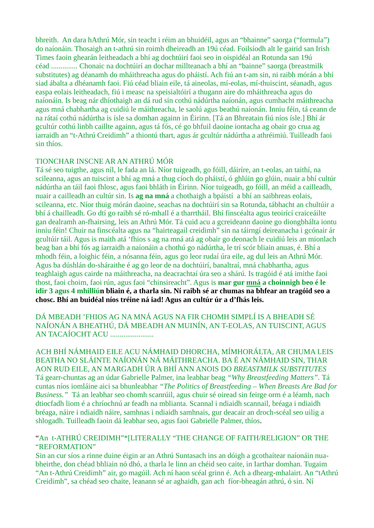bhreith. An dara hAthrú Mór, sin teacht i réim an bhuidéil, agus an "bhainne" saorga ("formula") do naíonáin. Thosaigh an t-athrú sin roimh dheireadh an 19ú céad. Foilsíodh alt le gairid san Irish Times faoin ghearán leitheadach a bhí ag dochtúirí faoi seo in oispidéal an Rotunda san 19ú céad .............. Chonaic na dochtúirí an dochar millteanach a bhí an "bainne" saorga (breastmilk substitutes) ag déanamh do mháithreacha agus do pháistí. Ach fiú an t-am sin, ni raibh mórán a bhí siad ábalta a dhéanamh faoi. Fiú céad bliain eile, tá aineolas, mí-eolas, mí-thuiscint, séanadh, agus easpa eolais leitheadach, fiú i measc na speisialtóirí a thugann aire do mháithreacha agus do naíonáin. Is beag nár dhíothaigh an dá rud sin cothú nádúrtha naíonán, agus cumhacht máithreacha agus mná chabhartha ag cuidiú le máithreacha, le saolú agus beathú naíonán. Inniu féin, tá ceann de na rátaí cothú nádúrtha is ísle sa domhan againn in Éirinn. [Tá an Bhreatain fiú níos ísle.] Bhí ár gcultúr cothú linbh caillte againn, agus tá fós, cé go bhfuil daoine iontacha ag obair go crua ag iarraidh an "t-Athrú Creidimh" a thiontú thart, agus ár gcultúr nádúrtha a athréimiú. Tuilleadh faoi sin thíos.

#### TIONCHAR INSCNE AR AN ATHRÚ MÓR

Tá sé seo tuigthe, agus níl, le fada an lá. Níor tuigeadh, go fóill, dáiríre, an t-eolas, an taithí, na scileanna, agus an tuiscint a bhí ag mná a thug cíoch do pháistí, ó ghlúin go glúin, nuair a bhí cultúr nádúrtha an táil faoi fhlosc, agus faoi bhláth in Éirinn. Níor tuigeadh, go fóill, an méid a cailleadh, nuair a cailleadh an cultúr sin. Is **ag na mná** a chothaigh a bpáistí a bhí an saibhreas eolais, scileanna, etc. Níor thuig mórán daoine, seachas na dochtúirí sin sa Rotunda, tábhacht an chultúir a bhí á chailleadh. Go dtí go raibh sé ró-mhall é a tharrtháil. Bhí finscéalta agus teoirící craiceáilte gan dealramh an-fhairsing, leis an Athrú Mór. Tá cuid acu a gcreideann daoine go diongbhálta iontu inniu féin! Chuir na finscéalta agus na "hairteagail creidimh" sin na táirngí deireanacha i gcónair ár gcultúir táil. Agus is maith atá 'fhios s ag na mná atá ag obair go deonach le cuidiú leis an mionlach beag ban a bhí fós ag iarraidh a naíonáin a chothú go nádúrtha, le trí scór bliain anuas, é. Bhí a mhodh féin, a loighic féin, a nósanna féin, agus go leor rudaí úra eile, ag dul leis an Athrú Mór. Agus ba dúshlán do-sháraithe é ag go leor de na dochtúirí, banaltraí, mná chabhartha, agus teaghlaigh agus cairde na máithreacha, na deacrachtaí úra seo a shárú. Is tragóid é atá imithe faoi thost, faoi choim, faoi rún, agus faoi "chinsireacht". Agus is **mar gur mná a choinnigh beo é le idir 3 agus 4 mhilliún bliain é, a tharla sin. Ní raibh sé ar chumas na bhfear an tragóid seo a chosc. Bhí an buidéal níos tréine ná iad! Agus an cultúr úr a d'fhás leis.**

DÁ MBEADH 'FHIOS AG NA MNÁ AGUS NA FIR CHOMH SIMPLÍ IS A BHEADH SÉ NAÍONÁN A BHEATHÚ, DÁ MBEADH AN MUINÍN, AN T-EOLAS, AN TUISCINT, AGUS AN TACAÍOCHT ACU .......................

ACH BHÍ NÁMHAID EILE ACU NÁMHAID DHORCHA, MÍMHORÁLTA, AR CHUMA LEIS BEATHA NO SLÁINTE NAÍONÁN NÁ MÁITHREACHA. BA É AN NÁMHAID SIN, THAR AON RUD EILE, AN MARGADH ÚR A BHÍ ANN ANOIS DO *BREASTMILK SUBSTITUTES* Tá gearr-chuntas ag an údar Gabrielle Palmer, ina leabhar beag *"Why Breastfeeding Matters".* Tá cuntas níos iomláine aici sa bhunleabhar *"The Politics of Breastfeeding – When Breasts Are Bad for Business."* Tá an leabhar seo chomh scanrúil, agus chuir sé oiread sin feirge orm é a léamh, nach dtiocfadh liom é a chríochnú ar feadh na mblianta. Scannal i ndiaidh scannail, bréaga i ndiaidh bréaga, náire i ndiaidh náire, samhnas i ndiaidh samhnais, gur deacair an droch-scéal seo uilig a shlogadh. Tuilleadh faoin dá leabhar seo, agus faoi Gabrielle Palmer, thíos.

#### "An t-ATHRÚ CREIDIMH"\*[LITERALLY "THE CHANGE OF FAITH/RELIGION" OR THE "REFORMATION"

Sin an cur síos a rinne duine éigin ar an Athrú Suntasach ins an dóigh a gcothaítear naíonáin nuabheirthe, don chéad bhliain nó dhó, a tharla le linn an chéid seo caite, in Iarthar domhan. Tugaim "An t-Athrú Creidimh" air, go magúil. Ach ní haon scéal grinn é. Ach a dhearg-mhalairt. An "tAthrú Creidimh", sa chéad seo chaite, leanann sé ar aghaidh, gan ach fíor-bheagán athrú, ó sin. Ní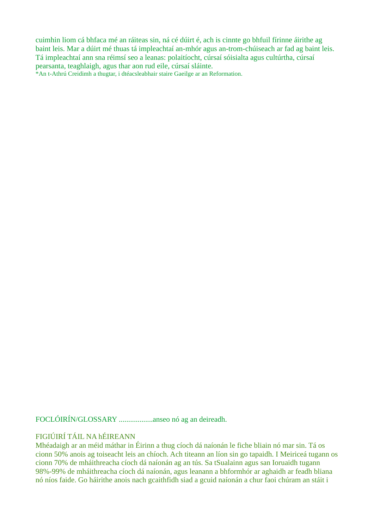cuimhin liom cá bhfaca mé an ráiteas sin, ná cé dúirt é, ach is cinnte go bhfuil fírinne áirithe ag baint leis. Mar a dúirt mé thuas tá impleachtaí an-mhór agus an-trom-chúiseach ar fad ag baint leis. Tá impleachtaí ann sna réimsí seo a leanas: polaitíocht, cúrsaí sóisialta agus cultúrtha, cúrsaí pearsanta, teaghlaigh, agus thar aon rud eile, cúrsaí sláinte.

\*An t-Athrú Creidimh a thugtar, i dtéacsleabhair staire Gaeilge ar an Reformation.

FOCLÓIRÍN/GLOSSARY ..................anseo nó ag an deireadh.

## FIGIÚIRÍ TÁIL NA hÉIREANN

Mhéadaigh ar an méid máthar in Éirinn a thug cíoch dá naíonán le fiche bliain nó mar sin. Tá os cionn 50% anois ag toiseacht leis an chíoch. Ach titeann an líon sin go tapaidh. I Meiriceá tugann os cionn 70% de mháithreacha cíoch dá naíonán ag an tús. Sa tSualainn agus san Ioruaidh tugann 98%-99% de mháithreacha cíoch dá naíonán, agus leanann a bhformhór ar aghaidh ar feadh bliana nó níos faide. Go háirithe anois nach gcaithfidh siad a gcuid naíonán a chur faoi chúram an stáit i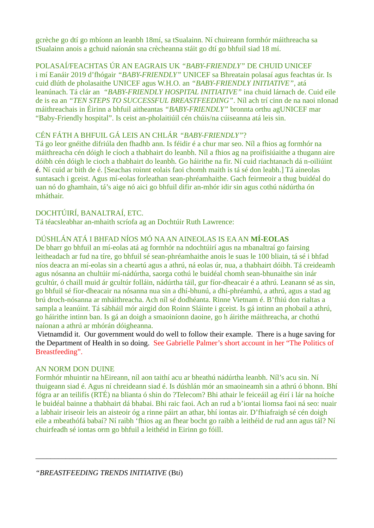gcrèche go dtí go mbíonn an leanbh 18mí, sa tSualainn. Ní chuireann formhór máithreacha sa tSualainn anois a gchuid naíonán sna crècheanna stáit go dtí go bhfuil siad 18 mí.

POLASAÍ/FEACHTAS ÚR AN EAGRAIS UK *"BABY-FRIENDLY"* DE CHUID UNICEF i mí Eanáir 2019 d'fhógair *"BABY-FRIENDLY"* UNICEF sa Bhreatain polasaí agus feachtas úr. Is cuid dlúth de pholasaithe UNICEF agus W.H.O. an *"BABY-FRIENDLY INITIATIVE"*, atá leanúnach. Tá clár an *"BABY-FRIENDLY HOSPITAL INITIATIVE"* ina chuid lárnach de. Cuid eile de is ea an *"TEN STEPS TO SUCCESSFUL BREASTFEEDING"*. Níl ach trí cinn de na naoi nIonad máithreachais in Éirinn a bhfuil aitheantas *"BABY-FRIENDLY"* bronnta orthu agUNICEF mar "Baby-Friendly hospital". Is ceist an-pholaitiúil cén chúis/na cúiseanna atá leis sin.

## CÉN FÁTH A BHFUIL GÁ LEIS AN CHLÁR *"BABY-FRIENDLY"*?

Tá go leor gnéithe difriúla den fhadhb ann. Is féidir é a chur mar seo. Níl a fhios ag formhór na máithreacha cén dóigh le cíoch a thabhairt do leanbh. Níl a fhios ag na proifisiúaithe a thugann aire dóibh cén dóigh le cioch a thabhairt do leanbh. Go háirithe na fir. Ní cuid riachtanach dá n-oiliúint é. Ní cuid ar bith de é. [Seachas roinnt eolais faoi chomh maith is tá sé don leabh.] Tá aineolas suntasach i gceist. Agus mí-eolas forleathan sean-phréamhaithe. Gach feirmeoir a thug buidéal do uan nó do ghamhain, tá's aige nó aici go bhfuil difir an-mhór idir sin agus cothú nádúrtha ón mháthair.

## DOCHTÚIRÍ, BANALTRAÍ, ETC.

Tá téacsleabhar an-mhaith scríofa ag an Dochtúir Ruth Lawrence:

## DÚSHLÁN ATÁ I BHFAD NÍOS MÓ NA AN AINEOLAS IS EA AN **MÍ-EOLAS**

De bharr go bhfuil an mí-eolas atá ag formhór na ndochtúirí agus na mbanaltraí go fairsing leitheadach ar fud na tíre, go bhfuil sé sean-phréamhaithe anois le suas le 100 bliain, tá sé i bhfad níos deacra an mí-eolas sin a cheartú agus a athrú, ná eolas úr, nua, a thabhairt dóibh. Tá creideamh agus nósanna an chultúir mí-nádúrtha, saorga cothú le buidéal chomh sean-bhunaithe sin inár gcultúr, ó chaill muid ár gcultúr folláin, nádúrtha táil, gur fíor-dheacair é a athrú. Leanann sé as sin, go bhfuil sé fíor-dheacair na nósanna nua sin a dhí-bhunú, a dhí-phréamhú, a athrú, agus a stad ag brú droch-nósanna ar mháithreacha. Ach níl sé dodhéanta. Rinne Vietnam é. B'fhiú don rialtas a sampla a leanúint. Tá sábháil mór airgid don Roinn Sláinte i gceist. Is gá intinn an phobail a athrú, go háirithe intinn ban. Is gá an doigh a smaoiníonn daoine, go h áirithe máithreacha, ar chothú naíonan a athrú ar mhórán dóigheanna.

Vietnamdid it. Our government would do well to follow their example. There is a huge saving for the Department of Health in so doing. See Gabrielle Palmer's short account in her "The Politics of Breastfeeding".

#### AN NORM DON DUINE

Formhór mhuintir na hEireann, níl aon taithí acu ar bheathú nádúrtha leanbh. Níl's acu sin. Ní thuigeann siad é. Agus ní chreideann siad é. Is dúshlán mór an smaoineamh sin a athrú ó bhonn. Bhí fógra ar an teilifís (RTÉ) na blianta ó shin do ?Telecom? Bhi athair le feiceáil ag éirí i lár na hoíche le buidéal bainne a thabhairt dá bhabai. Bhi raic faoi. Ach an rud a b'iontai liomsa faoi ná seo: nuair a labhair iriseoir leis an aisteoir óg a rinne páirt an athar, bhí iontas air. D'fhiafraigh sé cén doigh eile a mbeathófá babaí? Ní raibh 'fhios ag an fhear bocht go raibh a leithéid de rud ann agus tál? Ní chuirfeadh sé iontas orm go bhfuil a leithéid in Eirinn go fóill.

\_\_\_\_\_\_\_\_\_\_\_\_\_\_\_\_\_\_\_\_\_\_\_\_\_\_\_\_\_\_\_\_\_\_\_\_\_\_\_\_\_\_\_\_\_\_\_\_\_\_\_\_\_\_\_\_\_\_\_\_\_\_\_\_\_\_\_\_\_\_\_\_\_\_\_\_\_\_\_\_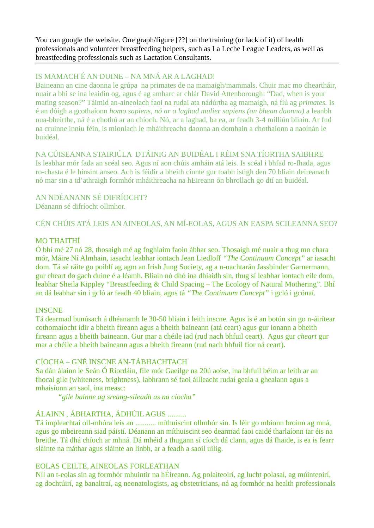You can google the website. One graph/figure [??] on the training (or lack of it) of health professionals and volunteer breastfeeding helpers, such as La Leche League Leaders, as well as breastfeeding professionals such as Lactation Consultants.

## IS MAMACH É AN DUINE – NA MNÁ AR A LAGHAD!

Baineann an cine daonna le grúpa na primates de na mamaigh/mammals. Chuir mac mo dheartháir, nuair a bhi se ina leaidin og, agus é ag amharc ar chlár David Attenborough: "Dad, when is your mating season?" Táimid an-aineolach faoi na rudai ata nádúrtha ag mamaigh, ná fiú ag *primates.* Is é an dóigh a gcothaíonn *homo sapiens, nó ar a laghad mulier sapiens (an bhean daonna)* a leanbh nua-bheirthe, ná é a chothú ar an chíoch. Nó*,* ar a laghad, ba ea, ar feadh 3-4 milliún bliain. Ar fud na cruinne inniu féin, is mionlach le mháithreacha daonna an domhain a chothaíonn a naoínán le buidéal.

NA CÚISEANNA STAIRIÚLA DTÁINIG AN BUIDÉAL I RÉIM SNA TÍORTHA SAIBHRE Is leabhar mór fada an scéal seo. Agus ní aon chúis amháin atá leis. Is scéal i bhfad ro-fhada, agus ro-chasta é le hinsint anseo. Ach is féidir a bheith cinnte gur toabh istigh den 70 bliain deireanach nó mar sin a td'athraigh formhór mháithreacha na hEireann ón bhrollach go dtí an buidéal.

#### AN NDÉANANN SÉ DIFRÍOCHT? Déanann sé difríocht ollmhor.

CÉN CHÚIS ATÁ LEIS AN AINEOLAS, AN MÍ-EOLAS, AGUS AN EASPA SCILEANNA SEO?

## MO THAITHÍ

Ó bhí mé 27 nó 28, thosaigh mé ag foghlaim faoin ábhar seo. Thosaigh mé nuair a thug mo chara mór, Máire Ní Almhain, iasacht leabhar iontach Jean Liedloff *"The Continuum Concept"* ar iasacht dom. Tá sé ráite go poiblí ag agm an Irish Jung Society, ag a n-uachtarán Jassbinder Garnermann, gur cheart do gach duine é a léamh. Bliain nó dhó ina dhiaidh sin, thug sí leabhar iontach eile dom, leabhar Sheila Kippley "Breastfeeding & Child Spacing – The Ecology of Natural Mothering". Bhí an dá leabhar sin i gcló ar feadh 40 bliain, agus tá *"The Continuum Concept"* i gcló i gcónaí.

#### INSCNE

Tá dearmad bunúsach á dhéanamh le 30-50 bliain i leith inscne. Agus is é an botún sin go n-áirítear cothomaíocht idir a bheith fireann agus a bheith baineann (atá ceart) agus gur ionann a bheith fireann agus a bheith baineann. Gur mar a chéile iad (rud nach bhfuil ceart). Agus gur *cheart* gur mar a chéile a bheith baineann agus a bheith fireann (rud nach bhfuil fíor ná ceart).

## CÍOCHA – GNÉ INSCNE AN-TÁBHACHTACH

Sa dán álainn le Seán Ó Ríordáin, file mór Gaeilge na 20ú aoise, ina bhfuil béim ar leith ar an fhocal gile (whiteness, brightness), labhrann sé faoi áilleacht rudaí geala a ghealann agus a mhaisíonn an saol, ina measc:

*"gile bainne ag sreang-sileadh as na cíocha"*

## ÁLAINN , ÁBHARTHA, ÁDHÚIL AGUS ..........

Tá impleachtaí oll-mhóra leis an ........... míthuiscint ollmhór sin. Is léir go mbíonn broinn ag mná, agus go mbeireann siad páistí. Déanann an míthuiscint seo dearmad faoi caidé tharlaíonn tar éis na breithe. Tá dhá chíoch ar mhná. Dá mhéid a thugann sí cíoch dá clann, agus dá fhaide, is ea is fearr sláinte na máthar agus sláinte an linbh, ar a feadh a saoil uilig.

## EOLAS CEILTE, AINEOLAS FORLEATHAN

Níl an t-eolas sin ag formhór mhuintir na hÉireann. Ag polaiteoirí, ag lucht polasaí, ag múinteoirí, ag dochtúirí, ag banaltraí, ag neonatologists, ag obstetricians, ná ag formhór na health professionals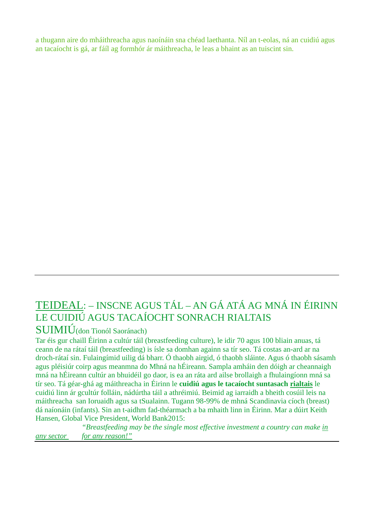a thugann aire do mháithreacha agus naoínáin sna chéad laethanta. Níl an t-eolas, ná an cuidiú agus an tacaíocht is gá, ar fáíl ag formhór ár máithreacha, le leas a bhaint as an tuiscint sin.

## TEIDEAL: – INSCNE AGUS TÁL – AN GÁ ATÁ AG MNÁ IN ÉIRINN LE CUIDIÚ AGUS TACAÍOCHT SONRACH RIALTAIS

## SUIMIÚ(don Tionól Saoránach)

Tar éis gur chaill Éirinn a cultúr táil (breastfeeding culture), le idir 70 agus 100 bliain anuas, tá ceann de na rátaí táil (breastfeeding) is ísle sa domhan againn sa tír seo. Tá costas an-ard ar na droch-rátaí sin. Fulaingímid uilig dá bharr. Ó thaobh airgid, ó thaobh sláinte. Agus ó thaobh sásamh agus pléisiúr coirp agus meanmna do Mhná na hÉireann. Sampla amháin den dóigh ar cheannaigh mná na hÉireann cultúr an bhuidéil go daor, is ea an ráta ard ailse brollaigh a fhulaingíonn mná sa tír seo. Tá géar-ghá ag máithreacha in Éirinn le **cuidiú agus le tacaíocht suntasach rialtais** le cuidiú linn ár gcultúr folláin, nádúrtha táil a athréimiú. Beimid ag iarraidh a bheith cosúil leis na máithreacha san Ioruaidh agus sa tSualainn. Tugann 98-99% de mhná Scandinavia cíoch (breast) dá naíonáin (infants). Sin an t-aidhm fad-théarmach a ba mhaith linn in Éirinn. Mar a dúirt Keith Hansen, Global Vice President, World Bank2015:

*"Breastfeeding may be the single most effective investment a country can make in any sector for any reason!"*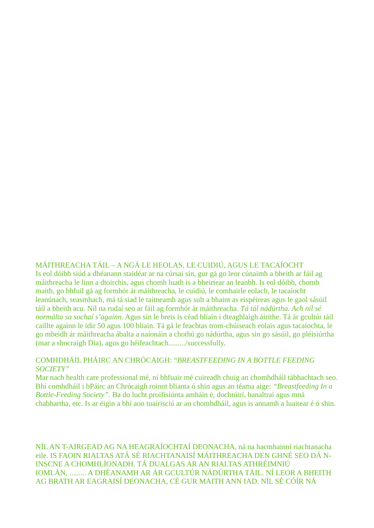MÁITHREACHA TÁIL – A NGÁ LE HEOLAS, LE CUIDIÚ, AGUS LE TACAÍOCHT Is eol dóibh siúd a dhéanann staidéar ar na cúrsai sin, gur gá go leor cúnaimh a bheith ar fáil ag máithreacha le linn a dtoirchis, agus chomh luath is a bheirtear an leanbh. Is eol dóibh, chomh maith, go bhfuil gá ag formhór ár máithreacha, le cuidiú, le comhairle eolach, le tacaíocht leanúnach, seasmhach, má tá siad le taitneamh agus sult a bhaint as eispéireas agus le gaol sásúil táil a bheith acu. Níl na rudaí seo ar fáil ag formhór ár máithreacha. *Tá tál nádúrtha. Ach níl sé normálta sa sochaí s'againn*. Agus sin le breis is céad bliain i dteaghlaigh áirithe. Tá ár gcultúr táil caillte againn le idir 50 agus 100 bliain. Tá gá le feachtas trom-chúiseach eolais agus tacaíochta, le go mbeidh ár máithreacha ábalta a naíonáin a chothú go nádúrtha, agus sin go sásúil, go pléisiúrtha (mar a shocraigh Dia), agus go héifeachtach........./successfully.

#### COMHDHÁIL PHÁIRC AN CHRÓCAIGH: "*BREASTFEEDING IN A BOTTLE FEEDING SOCIETY"*

Mar nach health care professional mé, ní bhfuair mé cuireadh chuig an chomhdháil tábhachtach seo. Bhí comhdháil i bPáirc an Chrócaigh roinnt blianta ó shin agus an téama aige: *"Breastfeeding In a Bottle-Feeding Society".* Ba do lucht proifisiúnta amháin é, dochtúirí, banaltraí agus mná chabhartha, etc. Is ar éigin a bhí aon tuairisciú ar an chomhdháil, agus is annamh a luaitear é ó shin.

NÍL AN T-AIRGEAD AG NA HEAGRAÍOCHTAÍ DEONACHA, ná na hacmhainní riachtanacha eile. IS FAOIN RIALTAS ATÁ SÉ RIACHTANAISÍ MÁITHREACHA DEN GHNÉ SEO DÁ N-INSCNE A CHOMHLÍONADH. TÁ DUALGAS AR AN RIALTAS ATHRÉIMNIÚ IOMLÁN, ......... A DHÉANAMH AR ÁR GCULTÚR NÁDÚRTHA TÁIL. NÍ LEOR A BHEITH AG BRATH AR EAGRAISÍ DEONACHA, CÉ GUR MAITH ANN IAD. NÍL SÉ CÓÍR NÁ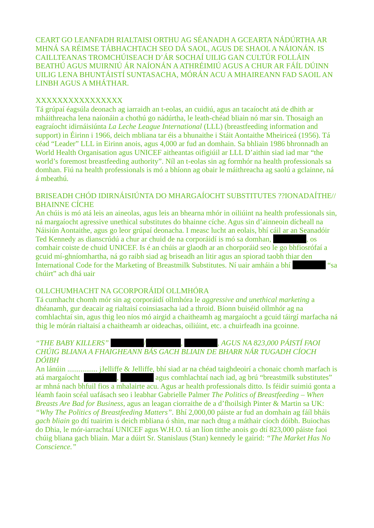CEART GO LEANFADH RIALTAISI ORTHU AG SÉANADH A GCEARTA NÁDÚRTHA AR MHNÁ SA RÉIMSE TÁBHACHTACH SEO DÁ SAOL, AGUS DE SHAOL A NÁIONÁN. IS CAILLTEANAS TROMCHÚISEACH D'ÁR SOCHAÍ UILIG GAN CULTÚR FOLLÁIN BEATHÚ AGUS MUIRNIÚ ÁR NAÍONÁN A ATHRÉIMIÚ AGUS A CHUR AR FÁÍL DÚINN UILIG LENA BHUNTÁISTÍ SUNTASACHA, MÓRÁN ACU A MHAIREANN FAD SAOIL AN LINBH AGUS A MHÁTHAR.

#### xxxxxxxxxxxxxx

Tá grúpaí éagsúla deonach ag iarraidh an t-eolas, an cuidiú, agus an tacaíocht atá de dhith ar mháithreacha lena naíonáin a chothú go nádúrtha, le leath-chéad bliain nó mar sin. Thosaigh an eagraíocht idirnáisiúnta *La Leche League International* (LLL) (breastfeeding information and support) in Éirinn i 1966, deich mbliana tar éis a bhunaithe i Stáit Aontaithe Mheiriceá (1956). Tá céad "Leader" LLL in Eirinn anois, agus 4,000 ar fud an domhain. Sa bhliain 1986 bhronnadh an World Health Organisation agus UNICEF aitheantas oifigiúil ar LLL D'aithin siad iad mar "the world's foremost breastfeeding authority". Níl an t-eolas sin ag formhór na health professionals sa domhan. Fiú na health professionals is mó a bhíonn ag obair le máithreacha ag saolú a gclainne, ná á mbeathú.

#### BRISEADH CHÓD IDIRNÁISIÚNTA DO MHARGAÍOCHT SUBSTITUTES ??IONADAÍTHE// BHAINNE CÍCHE

An chúis is mó atá leis an aineolas, agus leis an bhearna mhór in oiliúint na health professionals sin, ná margaíocht agressive unethical substitutes do bhainne cíche. Agus sin d'ainneoin dícheall na Náisiún Aontaithe, agus go leor grúpaí deonacha. I measc lucht an eolais, bhí cáil ar an Seanadóir Ted Kennedy as dianscrúdú a chur ar chuid de na corporáidí is mó sa domhan, segundo as domhan, comhair coiste de chuid UNICEF. Is é an chúis ar glaodh ar an chorporáid seo le go bhfiosrófaí a gcuid mí-ghníomhartha, ná go raibh siad ag briseadh an litir agus an spiorad taobh thiar den International Code for the Marketing of Breastmilk Substitutes. Ní uair amháin a bhí "Sa chúirt" ach dhá uair

## OLLCHUMHACHT NA GCORPORÁIDÍ OLLMHÓRA

Tá cumhacht chomh mór sin ag corporáidí ollmhóra le *aggressive and unethical marketing* a dhéanamh, gur deacair ag rialtaisí coinsiasacha iad a throid. Bíonn buiséid ollmhór ag na comhlachtaí sin, agus thig leo níos mó airgid a chaitheamh ag margaíocht a gcuid táirgí marfacha ná thig le mórán rialtaisí a chaitheamh ar oideachas, oiliúint, etc. a chuirfeadh ina gcoinne.

#### *"THE BABY KILLERS"* [Redacted]/ [Redacted]*,* [Redacted]*, AGUS NA 823,000 PÁISTÍ FAOI CHÚIG BLIANA A FHAIGHEANN BÁS GACH BLIAIN DE BHARR NÁR TUGADH CÍOCH DÓIBH*

An lánúin ................ jJelliffe & Jelliffe, bhí siad ar na chéad taighdeoirí a chonaic chomh marfach is atá margaíocht (Redacted), comhlachtaí nach iad, ag brú "breastmilk substitutes" ar mhná nach bhfuil fios a mhalairte acu. Agus ar health professionals ditto. Is féidir suimiú gonta a léamh faoin scéal uafásach seo i leabhar Gabrielle Palmer *The Politics of Breastfeeding – When Breasts Are Bad for Business,* agus an leagan ciorraithe de a d'fhoilsigh Pinter & Martin sa UK: *"Why The Politics of Breastfeeding Matters".* Bhí 2,000,00 páiste ar fud an domhain ag fáíl bháis *gach bliain* go dtí tuairim is deich mbliana ó shin, mar nach dtug a máthair cíoch dóibh. Buiochas do Dhia, le mór-iarrachtaí UNICEF agus W.H.O. tá an líon titthe anois go dtí 823,000 páiste faoi chúig bliana gach bliain. Mar a dúirt Sr. Stanislaus (Stan) kennedy le gairid: *"The Market Has No Conscience."*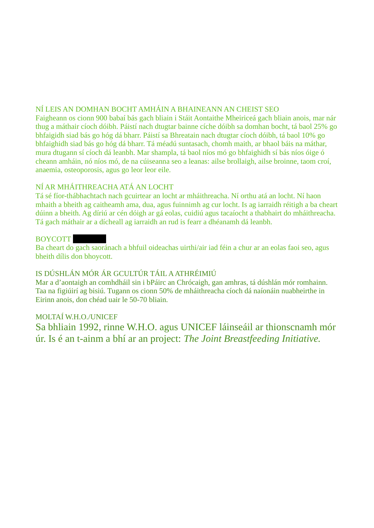## NÍ LEIS AN DOMHAN BOCHT AMHÁIN A BHAINEANN AN CHEIST SEO

Faigheann os cionn 900 babaí bás gach bliain i Stáit Aontaithe Mheiriceá gach bliain anois, mar nár thug a máthair cíoch dóibh. Páistí nach dtugtar bainne cíche dóibh sa domhan bocht, tá baol 25% go bhfaigidh siad bás go hóg dá bharr. Páistí sa Bhreatain nach dtugtar cíoch dóibh, tá baol 10% go bhfaighidh siad bás go hóg dá bharr. Tá méadú suntasach, chomh maith, ar bhaol báis na máthar, mura dtugann sí cíoch dá leanbh. Mar shampla, tá baol níos mó go bhfaighidh sí bás níos óige ó cheann amháin, nó níos mó, de na cúiseanna seo a leanas: ailse brollaigh, ailse broinne, taom croí, anaemia, osteoporosis, agus go leor leor eile.

## NÍ AR MHÁITHREACHA ATÁ AN LOCHT

Tá sé fíor-thábhachtach nach gcuirtear an locht ar mháithreacha. Ní orthu atá an locht. Ní haon mhaith a bheith ag caitheamh ama, dua, agus fuinnimh ag cur locht. Is ag iarraidh réitigh a ba cheart dúinn a bheith. Ag díriú ar cén dóigh ar gá eolas, cuidiú agus tacaíocht a thabhairt do mháithreacha. Tá gach máthair ar a dícheall ag iarraidh an rud is fearr a dhéanamh dá leanbh.

#### **BOYCOTT**

Ba cheart do gach saoránach a bhfuil oideachas uirthi/air iad féin a chur ar an eolas faoi seo, agus bheith dílis don bhoycott.

## IS DÚSHLÁN MÓR ÁR GCULTÚR TÁIL A ATHRÉIMIÚ

Mar a d'aontaigh an comhdháil sin i bPáirc an Chrócaigh, gan amhras, tá dúshlán mór romhainn. Taa na figiúirí ag bisiú. Tugann os cionn 50% de mháithreacha cíoch dá naíonáin nuabheirthe in Eirinn anois, don chéad uair le 50-70 bliain.

## MOLTAÍ W.H.O./UNICEF

Sa bhliain 1992, rinne W.H.O. agus UNICEF láinseáil ar thionscnamh mór úr. Is é an t-ainm a bhí ar an project: *The Joint Breastfeeding Initiative.*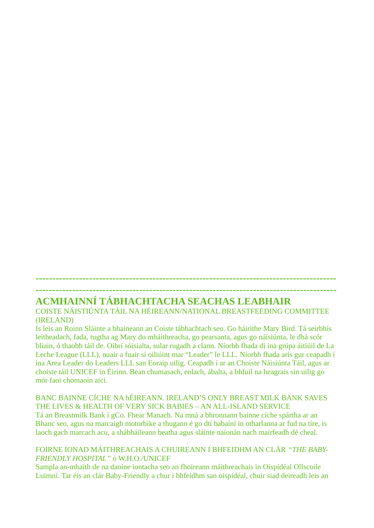## **ACMHAINNÍ TÁBHACHTACHA SEACHAS LEABHAIR**

COISTE NÁISTIÚNTA TÁIL NA HÉIREANN/NATIONAL BREASTFEEDING COMMITTEE (IRELAND)

**------------------------------------------------------------------------------------------ ------------------------------------------------------------------------------------------**

Is leis an Roinn Sláinte a bhaineann an Coiste tábhachtach seo. Go háirithe Mary Bird. Tá seirbhís leitheadach, fada, tugtha ag Mary do mháithreacha, go pearsanta, agus go náisiúnta, le dhá scór bliain, ó thaobh táil de. Oibrí sóisialta, sular rugadh a clann. Níorbh fhada di ina grúpa áitiúil de La Leche League (LLL), nuair a fuair sí oiliúint mar "Leader" le LLL. Níorbh fhada arís gur ceapadh í ina Area Leader do Leaders LLL san Eoraip uilig. Ceapadh í ar an Choiste Náisiúnta Táil, agus ar choiste táil UNICEF in Éirinn. Bean chumasach, eolach, ábalta, a bhfuil na heagrais sin uilig go mór faoi chomaoin aici.

#### BANC BAINNE CÍCHE NA hÉIREANN. IRELAND'S ONLY BREAST MILK BANK SAVES THE LIVES & HEALTH OF VERY SICK BABIES – AN ALL-ISLAND SERVICE Tá an Breastmilk Bank i gCo. Fhear Manach. Na mná a bhronnann bainne cíche spártha ar an Bhanc seo, agus na marcaigh motorbike a thugann é go dtí babaíní in otharlanna ar fud na tíre, is laoch gach marcach acu, a shábháileann beatha agus sláinte naíonán nach mairfeadh dé cheal.

#### FOIRNE IONAD MÁITHREACHAIS A CHUIREANN I BHFEIDHM AN CLÁR *"THE BABY-FRIENDLY HOSPITAL"* ó W.H.O./UNICEF

Sampla an-mhaith de na daoine iontacha seo an fhoireann máithreachais in Oispidéal Ollscoile Luimní. Tar éis an clár Baby-Friendly a chur i bhfeidhm san oispidéal, chuir siad deireadh leis an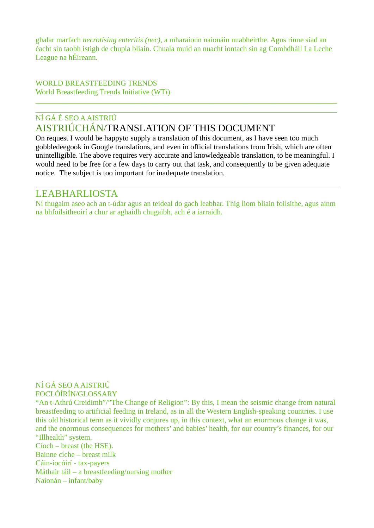ghalar marfach *necrotising enteritis (nec),* a mharaíonn naíonáin nuabheirthe. Agus rinne siad an éacht sin taobh istigh de chupla bliain. Chuala muid an nuacht iontach sin ag Comhdháil La Leche League na hÉireann.

WORLD BREASTFEEDING TRENDS World Breastfeeding Trends Initiative (WT*i*)

## \_\_\_\_\_\_\_\_\_\_\_\_\_\_\_\_\_\_\_\_\_\_\_\_\_\_\_\_\_\_\_\_\_\_\_\_\_\_\_\_\_\_\_\_\_\_\_\_\_\_\_\_\_\_\_\_\_\_\_\_\_\_\_\_\_\_\_\_\_\_\_\_\_\_\_\_\_\_\_\_ NÍ GÁ É SEO A AISTRIÚ AISTRIÚCHÁN/TRANSLATION OF THIS DOCUMENT

On request I would be happyto supply a translation of this document, as I have seen too much gobbledeegook in Google translations, and even in official translations from Irish, which are often unintelligible. The above requires very accurate and knowledgeable translation, to be meaningful. I would need to be free for a few days to carry out that task, and consequently to be given adequate notice. The subject is too important for inadequate translation.

\_\_\_\_\_\_\_\_\_\_\_\_\_\_\_\_\_\_\_\_\_\_\_\_\_\_\_\_\_\_\_\_\_\_\_\_\_\_\_\_\_\_\_\_\_\_\_\_\_\_\_\_\_\_\_\_\_\_\_\_\_\_\_\_\_\_\_\_\_\_\_\_\_\_\_\_\_\_\_\_

## LEABHARLIOSTA

Ní thugaim aseo ach an t-údar agus an teideal do gach leabhar. Thig liom bliain foilsithe, agus ainm na bhfoilsitheoirí a chur ar aghaidh chugaibh, ach é a iarraidh.

NÍ GÁ SEO A AISTRIÚ FOCLÓÍRÍN/GLOSSARY

"An t-Athrú Creidimh"/"The Change of Religion": By this, I mean the seismic change from natural breastfeeding to artificial feeding in Ireland, as in all the Western English-speaking countries. I use this old historical term as it vividly conjures up, in this context, what an enormous change it was, and the enormous consequences for mothers' and babies' health, for our country's finances, for our "Illhealth" system.

Cíoch – breast (the HSE). Bainne cíche – breast milk Cáin-íocóirí - tax-payers Máthair táil – a breastfeeding/nursing mother Naíonán – infant/baby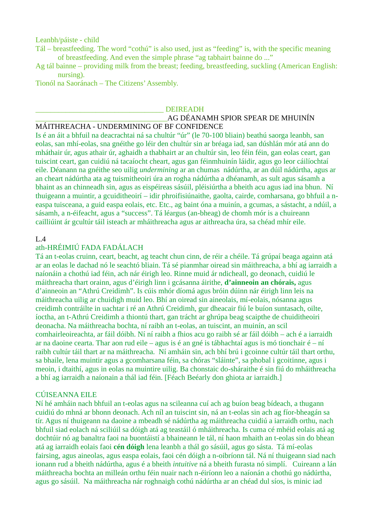Leanbh/páiste - child

- Tál breastfeeding. The word "cothú" is also used, just as "feeding" is, with the specific meaning of breastfeeding. And even the simple phrase "ag tabhairt bainne do ..."
- Ag tál bainne providing milk from the breast; feeding, breastfeeding, suckling (American English: nursing).

Tionól na Saoránach – The Citizens' Assembly.

#### \_\_\_\_\_\_\_\_\_\_\_\_\_\_\_\_\_\_\_\_\_\_\_\_\_\_\_\_\_\_\_\_\_\_ DEIREADH

### \_\_\_\_\_\_\_\_\_\_\_\_\_\_\_\_\_\_\_\_\_\_\_\_\_\_\_\_\_\_\_\_\_\_\_AG DÉANAMH SPIOR SPEAR DE MHUINÍN

#### MÁITHREACHA - UNDERMINING OF BF CONFIDENCE

Is é an áit a bhfuil na deacrachtai ná sa chultúr "úr" (le 70-100 bliain) beathú saorga leanbh, san eolas, san mhí-eolas, sna gnéithe go léir den chultúr sin ar bréaga iad, san dúshlán mór atá ann do mháthair úr, agus athair úr, aghaidh a thabhairt ar an chultúr sin, leo féin féin, gan eolas ceart, gan tuiscint ceart, gan cuidiú ná tacaíocht cheart, agus gan féinmhuinín láidir, agus go leor cáilíochtaí eile. Déanann na gnéithe seo uilig *undermining* ar an chumas nádúrtha, ar an dúil nádúrtha, agus ar an cheart nádúrtha ata ag tuismitheoiri úra an rogha nádúrtha a dhéanamh, as sult agus sásamh a bhaint as an chinneadh sin, agus as eispéireas sásúil, pléisiúrtha a bheith acu agus iad ina bhun. Ní thuigeann a muintir, a gcuiditheoirí – idir phroifisiúnaithe, gaolta, cairde, comharsana, go bhfuil a neaspa tuisceana, a guid easpa eolais, etc. Etc., ag baint óna a muinín, a gcumas, a sástacht, a ndúil, a sásamh, a n-éifeacht, agus a "success". Tá léargus (an-bheag) de chomh mór is a chuireann cailliúint ár gcultúr táil isteach ar mháithreacha agus ar aithreacha úra, sa chéad mhír eile.

#### $L.4$

#### ath-HRÉIMIÚ FADA FADÁLACH

Tá an t-eolas cruinn, ceart, beacht, ag teacht chun cinn, de réir a chéile. Tá grúpaí beaga againn atá ar an eolas le dachad nó le seachtó bliain. Tá sé pianmhar oiread sin máithreacha, a bhí ag iarraidh a naíonáin a chothú iad féin, ach nár éirigh leo. Rinne muid ár ndicheall, go deonach, cuidiú le máithreacha thart orainn, agus d'éirigh linn i gcásanna áirithe, **d'ainneoin an chórais,** agus d'ainneoin an "Athrú Creidimh". Is cúis mhór díomá agus bróin dúinn nár éirigh linn leis na máithreacha uilig ar chuidigh muid leo. Bhí an oiread sin aineolais, mí-eolais, nósanna agus creidimh contráilte in uachtar i ré an Athrú Creidimh, gur dheacair fiú le buíon suntasach, oilte, íoctha, an t-Athrú Creidimh a thiontú thart, gan trácht ar ghrúpa beag scaipthe de chuiditheoiri deonacha. Na máithreacha bochta, ní raibh an t-eolas, an tuiscint, an muinín, an scil comhairleoireachta, ar fáil dóibh. Ní ní raibh a fhios acu go raibh sé ar fáil dóibh – ach é a iarraidh ar na daoine cearta. Thar aon rud eile – agus is é an gné is tábhachtaí agus is mó tionchair é – ní raibh cultúr táil thart ar na máithreacha. Ní amháin sin, ach bhí brú i gcoinne cultúr táil thart orthu, sa bhaile, lena muintir agus a gcomharsana féin, sa chóras "sláinte", sa phobal i gcoitinne, agus i meoin, i dtaithí, agus in eolas na muintire uilig. Ba chonstaic do-sháraithe é sin fiú do mháithreacha a bhí ag iarraidh a naíonain a thál iad féin. [Féach Beéarly don ghiota ar iarraidh.]

#### CÚISEANNA EILE

Ní hé amháin nach bhfuil an t-eolas agus na scileanna cuí ach ag buíon beag bídeach, a thugann cuidiú do mhná ar bhonn deonach. Ach níl an tuiscint sin, ná an t-eolas sin ach ag fíor-bheagán sa tír. Agus ní thuigeann na daoine a mbeadh sé nádúrtha ag máithreacha cuidiú a iarraidh orthu, nach bhfuil siad eolach ná sciliúil sa dóigh atá ag teastáil ó mháithreacha. Is cuma cé mhéid eolais atá ag dochtúir nó ag banaltra faoi na buontáistí a bhaineann le tál, ní haon mhaith an t-eolas sin do bhean atá ag iarraidh eolais faoi **cén dóigh** lena leanbh a thál go sásúil, agus go sásta. Tá mí-eolas fairsing, agus aineolas, agus easpa eolais, faoi cén dóigh a n-oibríonn tál. Ná ní thuigeann siad nach ionann rud a bheith nádúrtha, agus é a bheith *intuitive* ná a bheith furasta nó simplí. Cuireann a lán máithreacha bochta an milleán orthu féin nuair nach n-éiríonn leo a naíonán a chothú go nádúrtha, agus go sásúil. Na máithreacha nár roghnaigh cothú nádúrtha ar an chéad dul síos, is minic iad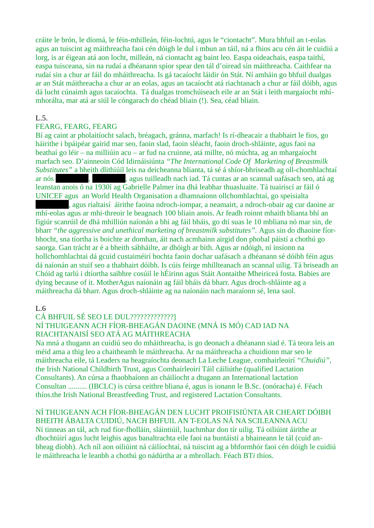cráite le brón, le díomá, le féin-mhilleán, féin-lochtú, agus le "ciontacht". Mura bhfuil an t-eolas agus an tuiscint ag máithreacha faoi cén dóigh le dul i mbun an táil, ná a fhios acu cén áit le cuidiú a lorg, is ar éigean atá aon locht, milleán, ná ciontacht ag baint leo. Easpa oideachais, easpa taithí, easpa tuisceana, sin na rudaí a dhéanann spior spear den tál d'oiread sin máithreacha. Caithfear na rudaí sin a chur ar fáil do mháithreacha. Is gá tacaíocht láidir ón Stát. Ní amháin go bhfuil dualgas ar an Stát máithreacha a chur ar an eolas, agus an tacaíocht atá riachtanach a chur ar fáil dóibh, agus dá lucht cúnaimh agus tacaíochta. Tá dualgas tromchúiseach eile ar an Stát i leith margaíocht mhímhorálta, mar atá ar siúl le cóngarach do chéad bliain (!). Sea, céad bliain.

#### L.5.

#### FEARG, FEARG, FEARG

Bí ag caint ar pholaitíocht salach, bréagach, gránna, marfach! Is rí-dheacair a thabhairt le fios, go háirithe i bpáipéar gairid mar seo, faoin slad, faoin sléacht, faoin droch-shláinte, agus faoi na beathaí go léir – na milliúin acu – ar fud na cruinne, atá millte, nó múchta, ag an mhargaíocht marfach seo. D'ainneoin Cód Idirnáisiúnta *"The International Code Of Marketing of Breastmilk Substitutes"* a bheith dlithiúil leis na deicheanna blianta, tá sé á shíor-bhriseadh ag oll-chomhlachtaí ar nós [Redacted], agus tuilleadh nach iad. Tá cuntas ar an scannal uafásach seo, atá ag leanstan anois ó na 1930í ag Gabrielle Palmer ina dhá leabhar thuasluaite. Tá tuairiscí ar fáil ó UNICEF agus an World Health Organisation a dhamnaíonn ollchomhlachtaí, go speisialta

, agus rialtaisí áirithe faoina ndroch-iompar, a neamairt, a ndroch-obair ag cur daoine ar mhí-eolas agus ar mhi-threoir le beagnach 100 bliain anois. Ar feadh roinnt mhaith blianta bhí an figiúr scanrúil de dhá mhilliún naíonán a bhi ag fáil bháis, go dtí suas le 10 mbliana nó mar sin, de bharr *"the gagressive and unethical marketing of breastmilk substitutes".* Agus sin do dhaoine fíorbhocht, sna tíortha is boichte ar domhan, áit nach acmhainn airgid don phobal páistí a chothú go saorga. Gan trácht ar é a bheith sábháilte, ar dhóigh ar bith. Agus ar ndóigh, ní insíonn na hollchomhlachtai dá gcuid custaiméirí bochta faoin dochar uafásach a dhéanann sé dóibh féin agus dá naíonán an stuif seo a thabhairt dóibh. Is cúis feirge mhillteanach an scannal uilig. Tá briseadh an Chóid ag tarlú i dtíortha saibhre cosúil le hÉirinn agus Stáit Aontaithe Mheiriceá fosta. Babies are dying because of it. MotherAgus naíonáin ag fáil bháis dá bharr. Agus droch-shláinte ag a máithreacha dá bharr. Agus droch-shláinte ag na naíonáin nach maraíonn sé, lena saol.

#### $L.6$

CÁ BHFUIL SÉ SEO LE DUL?????????????]

#### NÍ THUIGEANN ACH FÍOR-BHEAGÁN DAOINE (MNÁ IS MÓ) CAD IAD NA RIACHTANAISÍ SEO ATÁ AG MÁITHREACHA

Na mná a thugann an cuidiú seo do mháithreacha, is go deonach a dhéanann siad é. Tá teora leis an méid ama a thig leo a chaitheamh le máithreacha. Ar na máithreacha a chuidíonn mar seo le máithreacha eile, tá Leaders na heagraíochta deonach La Leche League, comhairleoirí *"Chuidiú",*  the Irish National Childbirth Trust, agus Comhairleoirí Táil cáiliúthe (qualified Lactation Consultants). An cúrsa a fhaobhaíonn an cháilíocht a dtugann an International lactation Consultan .......... (IBCLC) is cúrsa ceithre bliana é, agus is ionann le B.Sc. (onóracha) é. Féach thíos.the Irish National Breastfeeding Trust, and registered Lactation Consultants.

#### NÍ THUIGEANN ACH FÍOR-BHEAGÁN DEN LUCHT PROIFISIÚNTA AR CHEART DÓIBH BHEITH ÁBALTA CUIDIÚ, NACH BHFUIL AN T-EOLAS NÁ NA SCILEANNA ACU

Ní tinneas an tál, ach rud fíor-fholláin, sláintiúil, luachmhar don tír uilig. Tá oiliúint áirithe ar dhochtúirí agus lucht leighis agus banaltrachta eile faoi na buntáistí a bhaineann le tál (cuid anbheag díobh). Ach níl aon oiliúint ná cáilíochtaí, ná tuiscint ag a bhformhór faoi cén dóigh le cuidiú le máithreacha le leanbh a chothú go nádúrtha ar a mbrollach. Féach BT*i* thíos.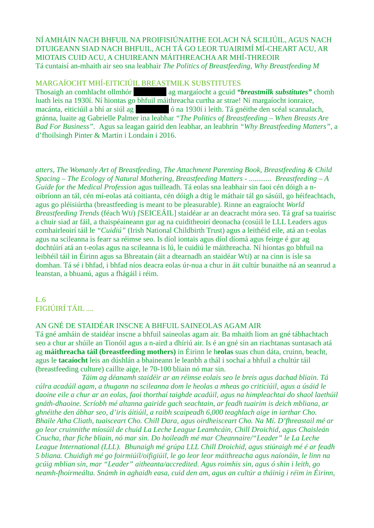NÍ AMHÁIN NACH BHFUIL NA PROIFISIÚNAITHE EOLACH NÁ SCILIÚIL, AGUS NACH DTUIGEANN SIAD NACH BHFUIL, ACH TÁ GO LEOR TUAIRIMÍ MÍ-CHEART ACU, AR MIOTAIS CUID ACU, A CHUIREANN MÁITHREACHA AR MHÍ-THREOIR Tá cuntaisí an-mhaith air seo sna leabhair *The Politics of Breastfeeding, Why Breastfeeding M*

#### MARGAÍOCHT MHÍ-EITICIÚIL BREASTMILK SUBSTITUTES

Thosaigh an comhlacht ollmhór [Redacted] ag margaíocht a gcuid *"breastmilk substitutes"* chomh luath leis na 1930í. Ní hiontas go bhfuil máithreacha curtha ar strae! Ní margaíocht ionraice, macánta, eiticiúil a bhí ar siúl ag có na 1930í i leith. Tá gnéithe den scéal scannalach, gránna, luaite ag Gabrielle Palmer ina leabhar *"The Politics of Breastfeeding – When Breasts Are Bad For Business".* Agus sa leagan gairid den leabhar, an leabhrín *"Why Breastfeeding Matters",* a d'fhoilsingh Pinter & Martin i Londain i 2016.

*atters, The Womanly Art of Breastfeeding, The Attachment Parenting Book, Breastfeeding & Child Spacing – The Ecology of Natural Mothering, Breastfeeding Matters - ............ Breastfeeding – A Guide for the Medical Profession* agus tuilleadh. Tá eolas sna leabhair sin faoi cén dóigh a noibríonn an tál, cén mí-eolas atá coitianta, cén dóigh a dtig le máthair tál go sásúil, go héifeachtach, agus go pléisiúrtha (breastfeeding is meant to be pleasurable). Rinne an eagraíocht *World Breastfeeding Trends* (féach Wt*i*) *[*SEICEÁIL] staidéar ar an deacracht móra seo. Tá graf sa tuairisc a chuir siad ar fáil, a thaispéaineann gur ag na cuiditheoirí deonacha (cosúil le LLL Leaders agus comhairleoirí táil le *"Cuidiú"* (Irish National Childbirth Trust) agus a leithéid eile, atá an t-eolas agus na scileanna is fearr sa réimse seo. Is díol iontais agus díol díomá agus feirge é gur ag dochtúirí atá an t-eolas agus na scileanna is lú, le cuidiú le máithreacha. Ní hiontas go bhfuil na leibhéil táil in Éirinn agus sa Bhreatain (áit a dtearnadh an staidéar Wt*i*) ar na cinn is ísle sa domhan. Tá sé i bhfad, i bhfad níos deacra eolas úr-nua a chur in áit cultúr bunaithe ná an seanrud a leanstan, a bhuanú, agus a fhágáil i réim.

L.6 FIGIÚIRÍ TÁIL ....

#### AN GNÉ DE STAIDÉAR INSCNE A BHFUIL SAINEOLAS AGAM AIR

Tá gné amháin de staidéar inscne a bhfuil saineolas agam air. Ba mhaith liom an gné tábhachtach seo a chur ar shúile an Tionóil agus a n-aird a dhíriú air. Is é an gné sin an riachtanas suntasach atá ag **máithreacha táil (breastfeeding mothers)** in Éirinn le h**eolas** suas chun dáta, cruinn, beacht, agus le **tacaíocht** leis an dúshlán a bhaineann le leanbh a thál i sochaí a bhfuil a chultúr táil (breastfeeding culture) caillte aige, le 70-100 bliain nó mar sin.

*Táim ag déanamh staidéir ar an réimse eolais seo le breis agus dachad bliain. Tá cúlra acadúil agam, a thugann na scileanna dom le heolas a mheas go criticiúil, agus a úsáid le daoine eile a chur ar an eolas, faoi thorthaí taighde acadúil, agus na himpleachtai do shaol laethúil gnáth-dhaoine. Scríobh mé altanna gairide gach seachtain, ar feadh tuairim is deich mbliana, ar ghnéithe den ábhar seo, d'iris áitiúil, a raibh scaipeadh 6,000 teaghlach aige in iarthar Cho. Bhaile Atha Cliath, tuaisceart Cho. Chill Dara, agus oirdheisceart Cho. Na Mí. D'fhreastail mé ar go leor cruinnithe míosúil de chuid La Leche League Leamhcáin, Chill Droichid, agus Chaisleán Cnucha, thar fiche bliain, nó mar sin. Do hoileadh mé mar Cheannaire/"Leader" le La Leche League International (LLL). Bhunaigh mé grúpa LLL Chill Droichid, agus stiúraigh mé é ar feadh 5 bliana. Chuidigh mé go foirmiúil/oifigiúil, le go leor leor máithreacha agus naíonáin, le linn na gcúig mblian sin, mar "Leader" aitheanta/accredited. Agus roimhis sin, agus ó shin i leith, go neamh-fhoirmeálta. Snámh in aghaidh easa, cuid den am, agus an cultúr a tháinig i réim in Éirinn,*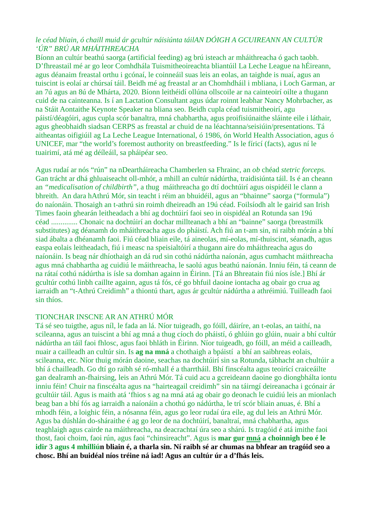### *le céad bliain, ó chaill muid ár gcultúr náisiúnta táilAN DÓIGH A GCUIREANN AN CULTÚR 'ÚR" BRÚ AR MHÁITHREACHA*

Bíonn an cultúr beathú saorga (artificial feeding) ag brú isteach ar mháithreacha ó gach taobh. D'fhreastail mé ar go leor Comhdhála Tuismitheoireachta bliantúil La Leche League na hÉireann, agus déanaim freastal orthu i gcónaí, le coinneáil suas leis an eolas, an taighde is nuaí, agus an tuiscint is eolaí ar chúrsaí táil. Beidh mé ag freastal ar an Chomhdháil i mbliana, i Loch Garman, ar an 7ú agus an 8ú de Mhárta, 2020. Bíonn leithéidí ollúna ollscoile ar na cainteoirí oilte a thugann cuid de na cainteanna. Is í an Lactation Consultant agus údar roinnt leabhar Nancy Mohrbacher, as na Stáit Aontaithe Keynote Speaker na bliana seo. Beidh cupla céad tuismitheoirí, agu páistí/déagóiri, agus cupla scór banaltra, mná chabhartha, agus proifisiúnaithe sláinte eile i láthair, agus gheobhaidh siadsan CERPS as freastal ar chuid de na léachtanna/seisiúin/presentations. Tá aitheantas oifigiúil ag La Leche League International, ó 1986, ón World Health Association, agus ó UNICEF, mar "the world's foremost authority on breastfeeding." Is le fíricí (facts), agus ní le tuairimí, atá mé ag déíleáil, sa pháipéar seo.

Agus rudaí ar nós "rún" na nDeartháireacha Chamberlen sa Fhrainc, an *ob* chéad *stetric forceps.*  Gan trácht ar dhá ghluaiseacht oll-mhór, a mhill an cultúr nádúrtha, traidisiúnta táil. Is é an cheann an *"medicalisation of childbirth",* a thug máithreacha go dtí dochtúirí agus oispidéil le clann a bhreith. An dara hAthrú Mór, sin teacht i réim an bhuidéil, agus an "bhainne" saorga ("formula") do naíonáin. Thosaigh an t-athrú sin roimh dheireadh an 19ú céad. Foilsíodh alt le gairid san Irish Times faoin ghearán leitheadach a bhí ag dochtúirí faoi seo in oispidéal an Rotunda san 19ú céad .............. Chonaic na dochtúirí an dochar millteanach a bhí an "bainne" saorga (breastmilk substitutes) ag déanamh do mháithreacha agus do pháistí. Ach fiú an t-am sin, ni raibh mórán a bhí siad ábalta a dhéanamh faoi. Fiú céad bliain eile, tá aineolas, mí-eolas, mí-thuiscint, séanadh, agus easpa eolais leitheadach, fiú i measc na speisialtóirí a thugann aire do mháithreacha agus do naíonáin. Is beag nár dhíothaigh an dá rud sin cothú nádúrtha naíonán, agus cumhacht máithreacha agus mná chabhartha ag cuidiú le máithreacha, le saolú agus beathú naíonán. Inniu féin, tá ceann de na rátaí cothú nádúrtha is ísle sa domhan againn in Éirinn. [Tá an Bhreatain fiú níos ísle.] Bhí ár gcultúr cothú linbh caillte againn, agus tá fós, cé go bhfuil daoine iontacha ag obair go crua ag iarraidh an "t-Athrú Creidimh" a thiontú thart, agus ár gcultúr nádúrtha a athréimiú. Tuilleadh faoi sin thíos.

#### TIONCHAR INSCNE AR AN ATHRÚ MÓR

Tá sé seo tuigthe, agus níl, le fada an lá. Níor tuigeadh, go fóill, dáiríre, an t-eolas, an taithí, na scileanna, agus an tuiscint a bhí ag mná a thug cíoch do pháistí, ó ghlúin go glúin, nuair a bhí cultúr nádúrtha an táil faoi fhlosc, agus faoi bhláth in Éirinn. Níor tuigeadh, go fóill, an méid a cailleadh, nuair a cailleadh an cultúr sin. Is **ag na mná** a chothaigh a bpáistí a bhí an saibhreas eolais, scileanna, etc. Níor thuig mórán daoine, seachas na dochtúirí sin sa Rotunda, tábhacht an chultúir a bhí á chailleadh. Go dtí go raibh sé ró-mhall é a tharrtháil. Bhí finscéalta agus teoirící craiceáilte gan dealramh an-fhairsing, leis an Athrú Mór. Tá cuid acu a gcreideann daoine go diongbhálta iontu inniu féin! Chuir na finscéalta agus na "hairteagail creidimh" sin na táirngí deireanacha i gcónair ár gcultúir táil. Agus is maith atá 'fhios s ag na mná atá ag obair go deonach le cuidiú leis an mionlach beag ban a bhí fós ag iarraidh a naíonáin a chothú go nádúrtha, le trí scór bliain anuas, é. Bhí a mhodh féin, a loighic féin, a nósanna féin, agus go leor rudaí úra eile, ag dul leis an Athrú Mór. Agus ba dúshlán do-sháraithe é ag go leor de na dochtúirí, banaltraí, mná chabhartha, agus teaghlaigh agus cairde na máithreacha, na deacrachtaí úra seo a shárú. Is tragóid é atá imithe faoi thost, faoi choim, faoi rún, agus faoi "chinsireacht". Agus is **mar gur mná a choinnigh beo é le idir 3 agus 4 mhilliún bliain é, a tharla sin. Ní raibh sé ar chumas na bhfear an tragóid seo a chosc. Bhí an buidéal níos tréine ná iad! Agus an cultúr úr a d'fhás leis.**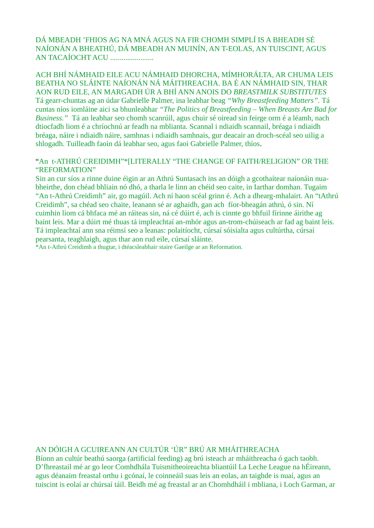DÁ MBEADH 'FHIOS AG NA MNÁ AGUS NA FIR CHOMH SIMPLÍ IS A BHEADH SÉ NAÍONÁN A BHEATHÚ, DÁ MBEADH AN MUINÍN, AN T-EOLAS, AN TUISCINT, AGUS AN TACAÍOCHT ACU .......................

ACH BHÍ NÁMHAID EILE ACU NÁMHAID DHORCHA, MÍMHORÁLTA, AR CHUMA LEIS BEATHA NO SLÁINTE NAÍONÁN NÁ MÁITHREACHA. BA É AN NÁMHAID SIN, THAR AON RUD EILE, AN MARGADH ÚR A BHÍ ANN ANOIS DO *BREASTMILK SUBSTITUTES* Tá gearr-chuntas ag an údar Gabrielle Palmer, ina leabhar beag *"Why Breastfeeding Matters".* Tá cuntas níos iomláine aici sa bhunleabhar *"The Politics of Breastfeeding – When Breasts Are Bad for Business."* Tá an leabhar seo chomh scanrúil, agus chuir sé oiread sin feirge orm é a léamh, nach dtiocfadh liom é a chríochnú ar feadh na mblianta. Scannal i ndiaidh scannail, bréaga i ndiaidh bréaga, náire i ndiaidh náire, samhnas i ndiaidh samhnais, gur deacair an droch-scéal seo uilig a shlogadh. Tuilleadh faoin dá leabhar seo, agus faoi Gabrielle Palmer, thíos.

#### "An t-ATHRÚ CREIDIMH"\*[LITERALLY "THE CHANGE OF FAITH/RELIGION" OR THE "REFORMATION"

Sin an cur síos a rinne duine éigin ar an Athrú Suntasach ins an dóigh a gcothaítear naíonáin nuabheirthe, don chéad bhliain nó dhó, a tharla le linn an chéid seo caite, in Iarthar domhan. Tugaim "An t-Athrú Creidimh" air, go magúil. Ach ní haon scéal grinn é. Ach a dhearg-mhalairt. An "tAthrú Creidimh", sa chéad seo chaite, leanann sé ar aghaidh, gan ach fíor-bheagán athrú, ó sin. Ní cuimhin liom cá bhfaca mé an ráiteas sin, ná cé dúirt é, ach is cinnte go bhfuil fírinne áirithe ag baint leis. Mar a dúirt mé thuas tá impleachtaí an-mhór agus an-trom-chúiseach ar fad ag baint leis. Tá impleachtaí ann sna réimsí seo a leanas: polaitíocht, cúrsaí sóisialta agus cultúrtha, cúrsaí pearsanta, teaghlaigh, agus thar aon rud eile, cúrsaí sláinte.

\*An t-Athrú Creidimh a thugtar, i dtéacsleabhair staire Gaeilge ar an Reformation.

#### AN DÓIGH A GCUIREANN AN CULTÚR 'ÚR" BRÚ AR MHÁITHREACHA

Bíonn an cultúr beathú saorga (artificial feeding) ag brú isteach ar mháithreacha ó gach taobh. D'fhreastail mé ar go leor Comhdhála Tuismitheoireachta bliantúil La Leche League na hÉireann, agus déanaim freastal orthu i gcónaí, le coinneáil suas leis an eolas, an taighde is nuaí, agus an tuiscint is eolaí ar chúrsaí táil. Beidh mé ag freastal ar an Chomhdháil i mbliana, i Loch Garman, ar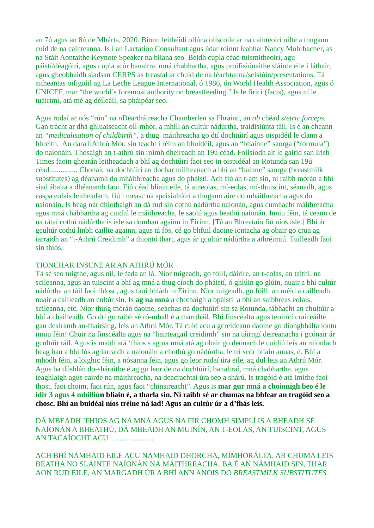an 7ú agus an 8ú de Mhárta, 2020. Bíonn leithéidí ollúna ollscoile ar na cainteoirí oilte a thugann cuid de na cainteanna. Is í an Lactation Consultant agus údar roinnt leabhar Nancy Mohrbacher, as na Stáit Aontaithe Keynote Speaker na bliana seo. Beidh cupla céad tuismitheoirí, agu páistí/déagóiri, agus cupla scór banaltra, mná chabhartha, agus proifisiúnaithe sláinte eile i láthair, agus gheobhaidh siadsan CERPS as freastal ar chuid de na léachtanna/seisiúin/presentations. Tá aitheantas oifigiúil ag La Leche League International, ó 1986, ón World Health Association, agus ó UNICEF, mar "the world's foremost authority on breastfeeding." Is le fíricí (facts), agus ní le tuairimí, atá mé ag déíleáil, sa pháipéar seo.

Agus rudaí ar nós "rún" na nDeartháireacha Chamberlen sa Fhrainc, an *ob* chéad *stetric forceps.*  Gan trácht ar dhá ghluaiseacht oll-mhór, a mhill an cultúr nádúrtha, traidisiúnta táil. Is é an cheann an *"medicalisation of childbirth",* a thug máithreacha go dtí dochtúirí agus oispidéil le clann a bhreith. An dara hAthrú Mór, sin teacht i réim an bhuidéil, agus an "bhainne" saorga ("formula") do naíonáin. Thosaigh an t-athrú sin roimh dheireadh an 19ú céad. Foilsíodh alt le gairid san Irish Times faoin ghearán leitheadach a bhí ag dochtúirí faoi seo in oispidéal an Rotunda san 19ú céad .............. Chonaic na dochtúirí an dochar millteanach a bhí an "bainne" saorga (breastmilk substitutes) ag déanamh do mháithreacha agus do pháistí. Ach fiú an t-am sin, ni raibh mórán a bhí siad ábalta a dhéanamh faoi. Fiú céad bliain eile, tá aineolas, mí-eolas, mí-thuiscint, séanadh, agus easpa eolais leitheadach, fiú i measc na speisialtóirí a thugann aire do mháithreacha agus do naíonáin. Is beag nár dhíothaigh an dá rud sin cothú nádúrtha naíonán, agus cumhacht máithreacha agus mná chabhartha ag cuidiú le máithreacha, le saolú agus beathú naíonán. Inniu féin, tá ceann de na rátaí cothú nádúrtha is ísle sa domhan againn in Éirinn. [Tá an Bhreatain fiú níos ísle.] Bhí ár gcultúr cothú linbh caillte againn, agus tá fós, cé go bhfuil daoine iontacha ag obair go crua ag iarraidh an "t-Athrú Creidimh" a thiontú thart, agus ár gcultúr nádúrtha a athréimiú. Tuilleadh faoi sin thíos.

#### TIONCHAR INSCNE AR AN ATHRÚ MÓR

Tá sé seo tuigthe, agus níl, le fada an lá. Níor tuigeadh, go fóill, dáiríre, an t-eolas, an taithí, na scileanna, agus an tuiscint a bhí ag mná a thug cíoch do pháistí, ó ghlúin go glúin, nuair a bhí cultúr nádúrtha an táil faoi fhlosc, agus faoi bhláth in Éirinn. Níor tuigeadh, go fóill, an méid a cailleadh, nuair a cailleadh an cultúr sin. Is **ag na mná** a chothaigh a bpáistí a bhí an saibhreas eolais, scileanna, etc. Níor thuig mórán daoine, seachas na dochtúirí sin sa Rotunda, tábhacht an chultúir a bhí á chailleadh. Go dtí go raibh sé ró-mhall é a tharrtháil. Bhí finscéalta agus teoirící craiceáilte gan dealramh an-fhairsing, leis an Athrú Mór. Tá cuid acu a gcreideann daoine go diongbhálta iontu inniu féin! Chuir na finscéalta agus na "hairteagail creidimh" sin na táirngí deireanacha i gcónair ár gcultúir táil. Agus is maith atá 'fhios s ag na mná atá ag obair go deonach le cuidiú leis an mionlach beag ban a bhí fós ag iarraidh a naíonáin a chothú go nádúrtha, le trí scór bliain anuas, é. Bhí a mhodh féin, a loighic féin, a nósanna féin, agus go leor rudaí úra eile, ag dul leis an Athrú Mór. Agus ba dúshlán do-sháraithe é ag go leor de na dochtúirí, banaltraí, mná chabhartha, agus teaghlaigh agus cairde na máithreacha, na deacrachtaí úra seo a shárú. Is tragóid é atá imithe faoi thost, faoi choim, faoi rún, agus faoi "chinsireacht". Agus is **mar gur mná a choinnigh beo é le idir 3 agus 4 mhilliún bliain é, a tharla sin. Ní raibh sé ar chumas na bhfear an tragóid seo a chosc. Bhí an buidéal níos tréine ná iad! Agus an cultúr úr a d'fhás leis.**

DÁ MBEADH 'FHIOS AG NA MNÁ AGUS NA FIR CHOMH SIMPLÍ IS A BHEADH SÉ NAÍONÁN A BHEATHÚ, DÁ MBEADH AN MUINÍN, AN T-EOLAS, AN TUISCINT, AGUS AN TACAÍOCHT ACU .......................

ACH BHÍ NÁMHAID EILE ACU NÁMHAID DHORCHA, MÍMHORÁLTA, AR CHUMA LEIS BEATHA NO SLÁINTE NAÍONÁN NÁ MÁITHREACHA. BA É AN NÁMHAID SIN, THAR AON RUD EILE, AN MARGADH ÚR A BHÍ ANN ANOIS DO *BREASTMILK SUBSTITUTES*